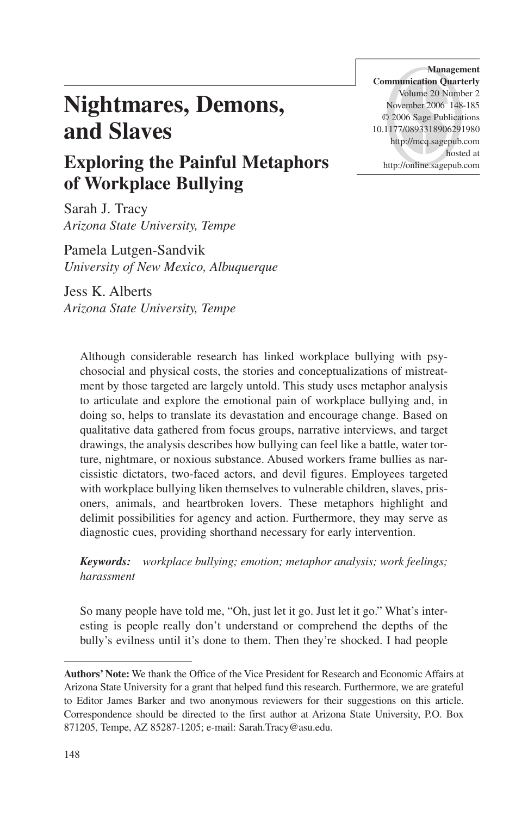# **Nightmares, Demons, and Slaves**

# **Exploring the Painful Metaphors of Workplace Bullying**

Sarah J. Tracy *Arizona State University, Tempe*

Pamela Lutgen-Sandvik *University of New Mexico, Albuquerque*

Jess K. Alberts *Arizona State University, Tempe*

Although considerable research has linked workplace bullying with psychosocial and physical costs, the stories and conceptualizations of mistreatment by those targeted are largely untold. This study uses metaphor analysis to articulate and explore the emotional pain of workplace bullying and, in doing so, helps to translate its devastation and encourage change. Based on qualitative data gathered from focus groups, narrative interviews, and target drawings, the analysis describes how bullying can feel like a battle, water torture, nightmare, or noxious substance. Abused workers frame bullies as narcissistic dictators, two-faced actors, and devil figures. Employees targeted with workplace bullying liken themselves to vulnerable children, slaves, prisoners, animals, and heartbroken lovers. These metaphors highlight and delimit possibilities for agency and action. Furthermore, they may serve as diagnostic cues, providing shorthand necessary for early intervention.

*Keywords: workplace bullying; emotion; metaphor analysis; work feelings; harassment*

So many people have told me, "Oh, just let it go. Just let it go." What's interesting is people really don't understand or comprehend the depths of the bully's evilness until it's done to them. Then they're shocked. I had people

**Management Communication Quarterly** Volume 20 Number 2 November 2006 148-185 © 2006 Sage Publications 10.1177/0893318906291980 http://mcq.sagepub.com hosted at http://online.sagepub.com

**Authors' Note:** We thank the Office of the Vice President for Research and Economic Affairs at Arizona State University for a grant that helped fund this research. Furthermore, we are grateful to Editor James Barker and two anonymous reviewers for their suggestions on this article. Correspondence should be directed to the first author at Arizona State University, P.O. Box 871205, Tempe, AZ 85287-1205; e-mail: Sarah.Tracy@asu.edu.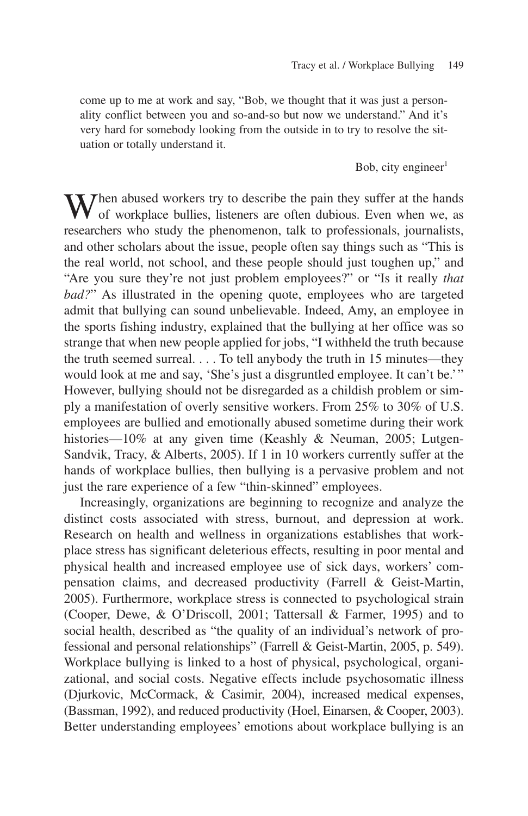come up to me at work and say, "Bob, we thought that it was just a personality conflict between you and so-and-so but now we understand." And it's very hard for somebody looking from the outside in to try to resolve the situation or totally understand it.

#### Bob, city engineer<sup>1</sup>

When abused workers try to describe the pain they suffer at the hands of workplace bullies, listeners are often dubious. Even when we, as researchers who study the phenomenon, talk to professionals, journalists, and other scholars about the issue, people often say things such as "This is the real world, not school, and these people should just toughen up," and "Are you sure they're not just problem employees?" or "Is it really *that bad?*" As illustrated in the opening quote, employees who are targeted admit that bullying can sound unbelievable. Indeed, Amy, an employee in the sports fishing industry, explained that the bullying at her office was so strange that when new people applied for jobs, "I withheld the truth because the truth seemed surreal. . . . To tell anybody the truth in 15 minutes—they would look at me and say, 'She's just a disgruntled employee. It can't be.'" However, bullying should not be disregarded as a childish problem or simply a manifestation of overly sensitive workers. From 25% to 30% of U.S. employees are bullied and emotionally abused sometime during their work histories—10% at any given time (Keashly & Neuman, 2005; Lutgen-Sandvik, Tracy, & Alberts, 2005). If 1 in 10 workers currently suffer at the hands of workplace bullies, then bullying is a pervasive problem and not just the rare experience of a few "thin-skinned" employees.

Increasingly, organizations are beginning to recognize and analyze the distinct costs associated with stress, burnout, and depression at work. Research on health and wellness in organizations establishes that workplace stress has significant deleterious effects, resulting in poor mental and physical health and increased employee use of sick days, workers' compensation claims, and decreased productivity (Farrell & Geist-Martin, 2005). Furthermore, workplace stress is connected to psychological strain (Cooper, Dewe, & O'Driscoll, 2001; Tattersall & Farmer, 1995) and to social health, described as "the quality of an individual's network of professional and personal relationships" (Farrell & Geist-Martin, 2005, p. 549). Workplace bullying is linked to a host of physical, psychological, organizational, and social costs. Negative effects include psychosomatic illness (Djurkovic, McCormack, & Casimir, 2004), increased medical expenses, (Bassman, 1992), and reduced productivity (Hoel, Einarsen, & Cooper, 2003). Better understanding employees' emotions about workplace bullying is an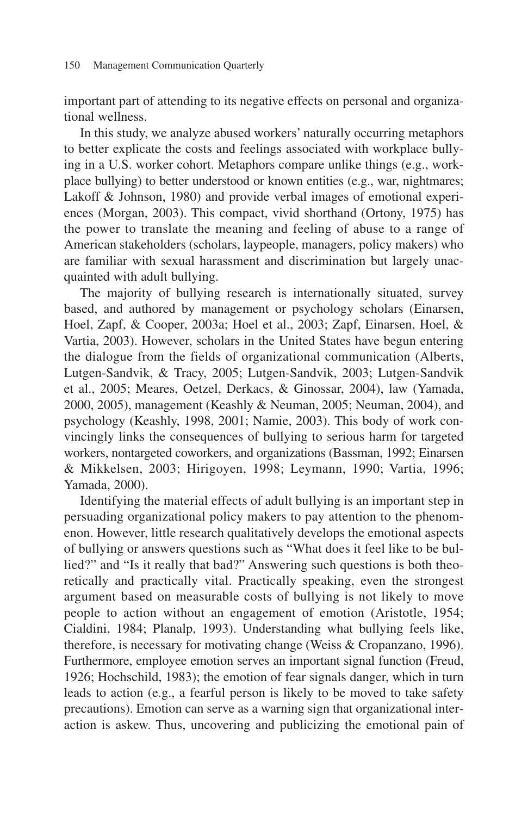important part of attending to its negative effects on personal and organizational wellness.

In this study, we analyze abused workers' naturally occurring metaphors to better explicate the costs and feelings associated with workplace bullying in a U.S. worker cohort. Metaphors compare unlike things (e.g., workplace bullying) to better understood or known entities (e.g., war, nightmares; Lakoff & Johnson, 1980) and provide verbal images of emotional experiences (Morgan, 2003). This compact, vivid shorthand (Ortony, 1975) has the power to translate the meaning and feeling of abuse to a range of American stakeholders (scholars, laypeople, managers, policy makers) who are familiar with sexual harassment and discrimination but largely unacquainted with adult bullying.

The majority of bullying research is internationally situated, survey based, and authored by management or psychology scholars (Einarsen, Hoel, Zapf, & Cooper, 2003a; Hoel et al., 2003; Zapf, Einarsen, Hoel, & Vartia, 2003). However, scholars in the United States have begun entering the dialogue from the fields of organizational communication (Alberts, Lutgen-Sandvik, & Tracy, 2005; Lutgen-Sandvik, 2003; Lutgen-Sandvik et al., 2005; Meares, Oetzel, Derkacs, & Ginossar, 2004), law (Yamada, 2000, 2005), management (Keashly & Neuman, 2005; Neuman, 2004), and psychology (Keashly, 1998, 2001; Namie, 2003). This body of work convincingly links the consequences of bullying to serious harm for targeted workers, nontargeted coworkers, and organizations (Bassman, 1992; Einarsen & Mikkelsen, 2003; Hirigoyen, 1998; Leymann, 1990; Vartia, 1996; Yamada, 2000).

Identifying the material effects of adult bullying is an important step in persuading organizational policy makers to pay attention to the phenomenon. However, little research qualitatively develops the emotional aspects of bullying or answers questions such as "What does it feel like to be bullied?" and "Is it really that bad?" Answering such questions is both theoretically and practically vital. Practically speaking, even the strongest argument based on measurable costs of bullying is not likely to move people to action without an engagement of emotion (Aristotle, 1954; Cialdini, 1984; Planalp, 1993). Understanding what bullying feels like, therefore, is necessary for motivating change (Weiss & Cropanzano, 1996). Furthermore, employee emotion serves an important signal function (Freud, 1926; Hochschild, 1983); the emotion of fear signals danger, which in turn leads to action (e.g., a fearful person is likely to be moved to take safety precautions). Emotion can serve as a warning sign that organizational interaction is askew. Thus, uncovering and publicizing the emotional pain of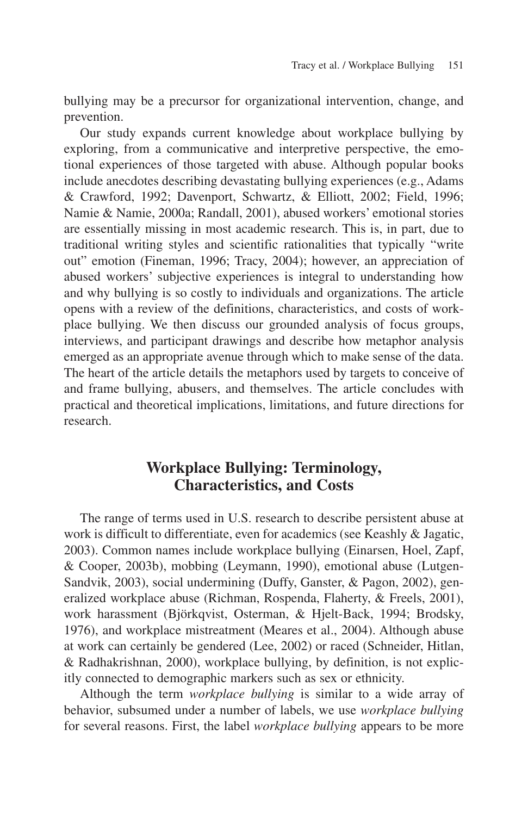bullying may be a precursor for organizational intervention, change, and prevention.

Our study expands current knowledge about workplace bullying by exploring, from a communicative and interpretive perspective, the emotional experiences of those targeted with abuse. Although popular books include anecdotes describing devastating bullying experiences (e.g., Adams & Crawford, 1992; Davenport, Schwartz, & Elliott, 2002; Field, 1996; Namie & Namie, 2000a; Randall, 2001), abused workers' emotional stories are essentially missing in most academic research. This is, in part, due to traditional writing styles and scientific rationalities that typically "write out" emotion (Fineman, 1996; Tracy, 2004); however, an appreciation of abused workers' subjective experiences is integral to understanding how and why bullying is so costly to individuals and organizations. The article opens with a review of the definitions, characteristics, and costs of workplace bullying. We then discuss our grounded analysis of focus groups, interviews, and participant drawings and describe how metaphor analysis emerged as an appropriate avenue through which to make sense of the data. The heart of the article details the metaphors used by targets to conceive of and frame bullying, abusers, and themselves. The article concludes with practical and theoretical implications, limitations, and future directions for research.

# **Workplace Bullying: Terminology, Characteristics, and Costs**

The range of terms used in U.S. research to describe persistent abuse at work is difficult to differentiate, even for academics (see Keashly & Jagatic, 2003). Common names include workplace bullying (Einarsen, Hoel, Zapf, & Cooper, 2003b), mobbing (Leymann, 1990), emotional abuse (Lutgen-Sandvik, 2003), social undermining (Duffy, Ganster, & Pagon, 2002), generalized workplace abuse (Richman, Rospenda, Flaherty, & Freels, 2001), work harassment (Björkqvist, Osterman, & Hjelt-Back, 1994; Brodsky, 1976), and workplace mistreatment (Meares et al., 2004). Although abuse at work can certainly be gendered (Lee, 2002) or raced (Schneider, Hitlan, & Radhakrishnan, 2000), workplace bullying, by definition, is not explicitly connected to demographic markers such as sex or ethnicity.

Although the term *workplace bullying* is similar to a wide array of behavior, subsumed under a number of labels, we use *workplace bullying* for several reasons. First, the label *workplace bullying* appears to be more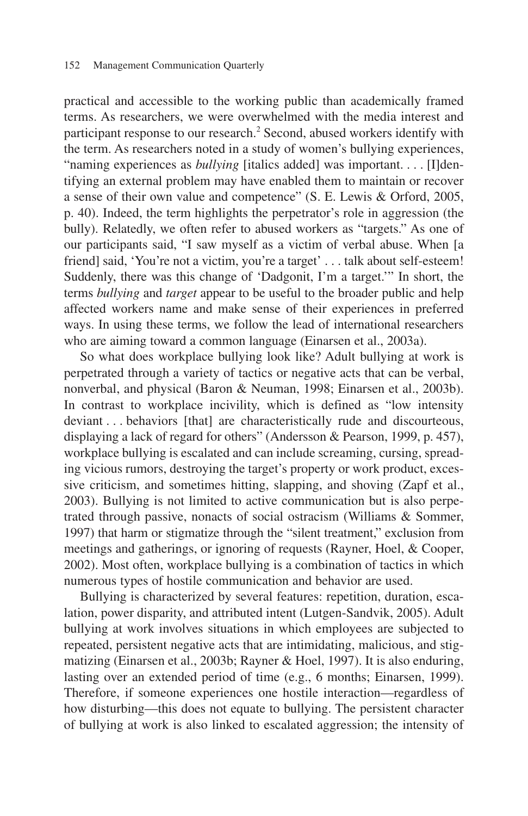practical and accessible to the working public than academically framed terms. As researchers, we were overwhelmed with the media interest and participant response to our research.2 Second, abused workers identify with the term. As researchers noted in a study of women's bullying experiences, "naming experiences as *bullying* [italics added] was important.... [I]dentifying an external problem may have enabled them to maintain or recover a sense of their own value and competence" (S. E. Lewis & Orford, 2005, p. 40). Indeed, the term highlights the perpetrator's role in aggression (the bully). Relatedly, we often refer to abused workers as "targets." As one of our participants said, "I saw myself as a victim of verbal abuse. When [a friend] said, 'You're not a victim, you're a target'... talk about self-esteem! Suddenly, there was this change of 'Dadgonit, I'm a target.'" In short, the terms *bullying* and *target* appear to be useful to the broader public and help affected workers name and make sense of their experiences in preferred ways. In using these terms, we follow the lead of international researchers who are aiming toward a common language (Einarsen et al., 2003a).

So what does workplace bullying look like? Adult bullying at work is perpetrated through a variety of tactics or negative acts that can be verbal, nonverbal, and physical (Baron & Neuman, 1998; Einarsen et al., 2003b). In contrast to workplace incivility, which is defined as "low intensity deviant... behaviors [that] are characteristically rude and discourteous, displaying a lack of regard for others" (Andersson & Pearson, 1999, p. 457), workplace bullying is escalated and can include screaming, cursing, spreading vicious rumors, destroying the target's property or work product, excessive criticism, and sometimes hitting, slapping, and shoving (Zapf et al., 2003). Bullying is not limited to active communication but is also perpetrated through passive, nonacts of social ostracism (Williams & Sommer, 1997) that harm or stigmatize through the "silent treatment," exclusion from meetings and gatherings, or ignoring of requests (Rayner, Hoel, & Cooper, 2002). Most often, workplace bullying is a combination of tactics in which numerous types of hostile communication and behavior are used.

Bullying is characterized by several features: repetition, duration, escalation, power disparity, and attributed intent (Lutgen-Sandvik, 2005). Adult bullying at work involves situations in which employees are subjected to repeated, persistent negative acts that are intimidating, malicious, and stigmatizing (Einarsen et al., 2003b; Rayner & Hoel, 1997). It is also enduring, lasting over an extended period of time (e.g., 6 months; Einarsen, 1999). Therefore, if someone experiences one hostile interaction—regardless of how disturbing—this does not equate to bullying. The persistent character of bullying at work is also linked to escalated aggression; the intensity of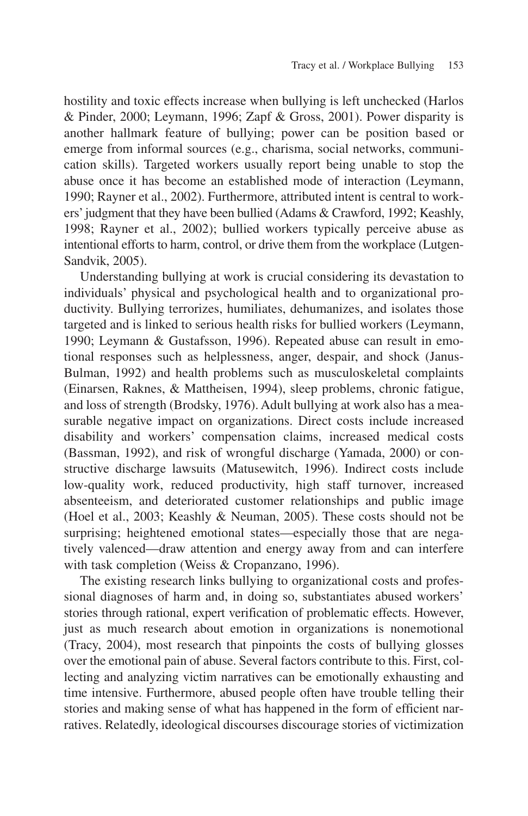hostility and toxic effects increase when bullying is left unchecked (Harlos & Pinder, 2000; Leymann, 1996; Zapf & Gross, 2001). Power disparity is another hallmark feature of bullying; power can be position based or emerge from informal sources (e.g., charisma, social networks, communication skills). Targeted workers usually report being unable to stop the abuse once it has become an established mode of interaction (Leymann, 1990; Rayner et al., 2002). Furthermore, attributed intent is central to workers'judgment that they have been bullied (Adams & Crawford, 1992; Keashly, 1998; Rayner et al., 2002); bullied workers typically perceive abuse as intentional efforts to harm, control, or drive them from the workplace (Lutgen-Sandvik, 2005).

Understanding bullying at work is crucial considering its devastation to individuals' physical and psychological health and to organizational productivity. Bullying terrorizes, humiliates, dehumanizes, and isolates those targeted and is linked to serious health risks for bullied workers (Leymann, 1990; Leymann & Gustafsson, 1996). Repeated abuse can result in emotional responses such as helplessness, anger, despair, and shock (Janus-Bulman, 1992) and health problems such as musculoskeletal complaints (Einarsen, Raknes, & Mattheisen, 1994), sleep problems, chronic fatigue, and loss of strength (Brodsky, 1976). Adult bullying at work also has a measurable negative impact on organizations. Direct costs include increased disability and workers' compensation claims, increased medical costs (Bassman, 1992), and risk of wrongful discharge (Yamada, 2000) or constructive discharge lawsuits (Matusewitch, 1996). Indirect costs include low-quality work, reduced productivity, high staff turnover, increased absenteeism, and deteriorated customer relationships and public image (Hoel et al., 2003; Keashly & Neuman, 2005). These costs should not be surprising; heightened emotional states—especially those that are negatively valenced—draw attention and energy away from and can interfere with task completion (Weiss & Cropanzano, 1996).

The existing research links bullying to organizational costs and professional diagnoses of harm and, in doing so, substantiates abused workers' stories through rational, expert verification of problematic effects. However, just as much research about emotion in organizations is nonemotional (Tracy, 2004), most research that pinpoints the costs of bullying glosses over the emotional pain of abuse. Several factors contribute to this. First, collecting and analyzing victim narratives can be emotionally exhausting and time intensive. Furthermore, abused people often have trouble telling their stories and making sense of what has happened in the form of efficient narratives. Relatedly, ideological discourses discourage stories of victimization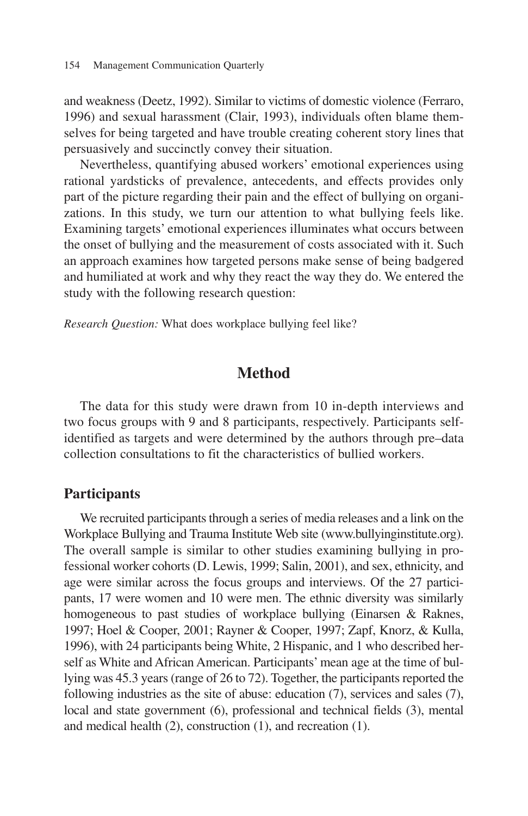and weakness (Deetz, 1992). Similar to victims of domestic violence (Ferraro, 1996) and sexual harassment (Clair, 1993), individuals often blame themselves for being targeted and have trouble creating coherent story lines that persuasively and succinctly convey their situation.

Nevertheless, quantifying abused workers' emotional experiences using rational yardsticks of prevalence, antecedents, and effects provides only part of the picture regarding their pain and the effect of bullying on organizations. In this study, we turn our attention to what bullying feels like. Examining targets' emotional experiences illuminates what occurs between the onset of bullying and the measurement of costs associated with it. Such an approach examines how targeted persons make sense of being badgered and humiliated at work and why they react the way they do. We entered the study with the following research question:

*Research Question:* What does workplace bullying feel like?

# **Method**

The data for this study were drawn from 10 in-depth interviews and two focus groups with 9 and 8 participants, respectively. Participants selfidentified as targets and were determined by the authors through pre–data collection consultations to fit the characteristics of bullied workers.

# **Participants**

We recruited participants through a series of media releases and a link on the Workplace Bullying and Trauma Institute Web site (www.bullyinginstitute.org). The overall sample is similar to other studies examining bullying in professional worker cohorts (D. Lewis, 1999; Salin, 2001), and sex, ethnicity, and age were similar across the focus groups and interviews. Of the 27 participants, 17 were women and 10 were men. The ethnic diversity was similarly homogeneous to past studies of workplace bullying (Einarsen & Raknes, 1997; Hoel & Cooper, 2001; Rayner & Cooper, 1997; Zapf, Knorz, & Kulla, 1996), with 24 participants being White, 2 Hispanic, and 1 who described herself as White and African American. Participants' mean age at the time of bullying was 45.3 years (range of 26 to 72). Together, the participants reported the following industries as the site of abuse: education (7), services and sales (7), local and state government (6), professional and technical fields (3), mental and medical health (2), construction (1), and recreation (1).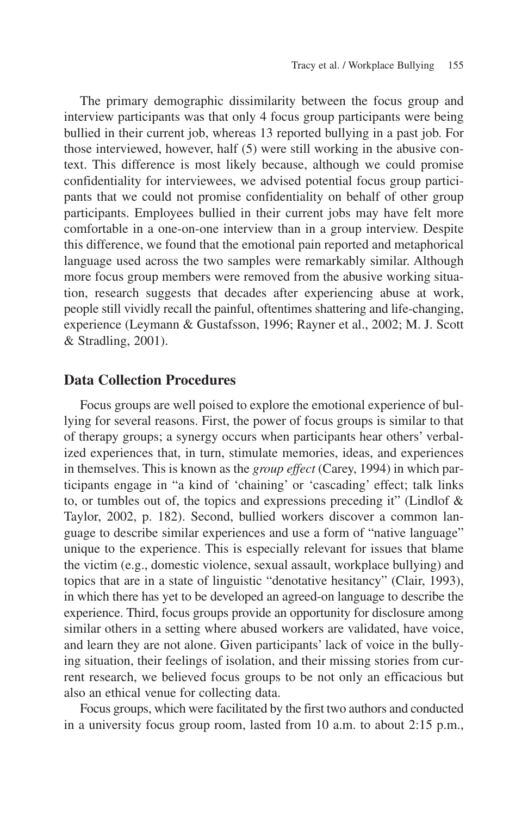The primary demographic dissimilarity between the focus group and interview participants was that only 4 focus group participants were being bullied in their current job, whereas 13 reported bullying in a past job. For those interviewed, however, half (5) were still working in the abusive context. This difference is most likely because, although we could promise confidentiality for interviewees, we advised potential focus group participants that we could not promise confidentiality on behalf of other group participants. Employees bullied in their current jobs may have felt more comfortable in a one-on-one interview than in a group interview. Despite this difference, we found that the emotional pain reported and metaphorical language used across the two samples were remarkably similar. Although more focus group members were removed from the abusive working situation, research suggests that decades after experiencing abuse at work, people still vividly recall the painful, oftentimes shattering and life-changing, experience (Leymann & Gustafsson, 1996; Rayner et al., 2002; M. J. Scott & Stradling, 2001).

### **Data Collection Procedures**

Focus groups are well poised to explore the emotional experience of bullying for several reasons. First, the power of focus groups is similar to that of therapy groups; a synergy occurs when participants hear others' verbalized experiences that, in turn, stimulate memories, ideas, and experiences in themselves. This is known as the *group effect* (Carey, 1994) in which participants engage in "a kind of 'chaining' or 'cascading' effect; talk links to, or tumbles out of, the topics and expressions preceding it" (Lindlof  $\&$ Taylor, 2002, p. 182). Second, bullied workers discover a common language to describe similar experiences and use a form of "native language" unique to the experience. This is especially relevant for issues that blame the victim (e.g., domestic violence, sexual assault, workplace bullying) and topics that are in a state of linguistic "denotative hesitancy" (Clair, 1993), in which there has yet to be developed an agreed-on language to describe the experience. Third, focus groups provide an opportunity for disclosure among similar others in a setting where abused workers are validated, have voice, and learn they are not alone. Given participants' lack of voice in the bullying situation, their feelings of isolation, and their missing stories from current research, we believed focus groups to be not only an efficacious but also an ethical venue for collecting data.

Focus groups, which were facilitated by the first two authors and conducted in a university focus group room, lasted from 10 a.m. to about 2:15 p.m.,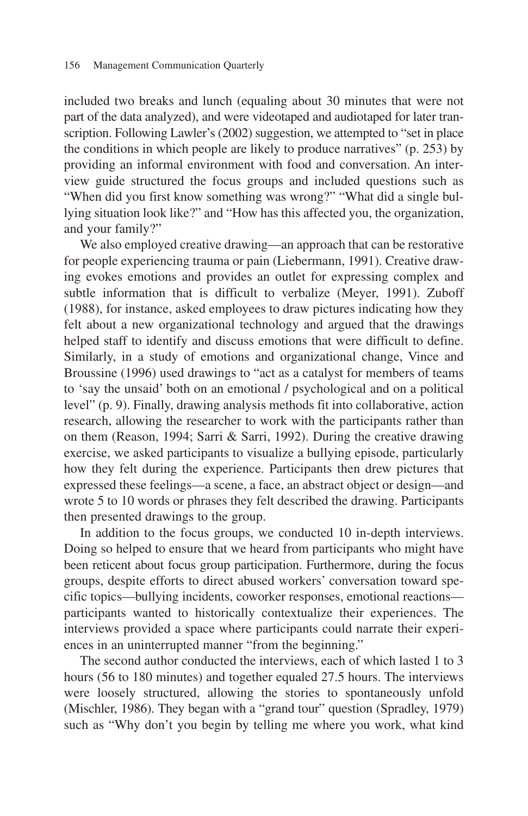included two breaks and lunch (equaling about 30 minutes that were not part of the data analyzed), and were videotaped and audiotaped for later transcription. Following Lawler's (2002) suggestion, we attempted to "set in place the conditions in which people are likely to produce narratives" (p. 253) by providing an informal environment with food and conversation. An interview guide structured the focus groups and included questions such as "When did you first know something was wrong?" "What did a single bullying situation look like?" and "How has this affected you, the organization, and your family?"

We also employed creative drawing—an approach that can be restorative for people experiencing trauma or pain (Liebermann, 1991). Creative drawing evokes emotions and provides an outlet for expressing complex and subtle information that is difficult to verbalize (Meyer, 1991). Zuboff (1988), for instance, asked employees to draw pictures indicating how they felt about a new organizational technology and argued that the drawings helped staff to identify and discuss emotions that were difficult to define. Similarly, in a study of emotions and organizational change, Vince and Broussine (1996) used drawings to "act as a catalyst for members of teams to 'say the unsaid' both on an emotional / psychological and on a political level" (p. 9). Finally, drawing analysis methods fit into collaborative, action research, allowing the researcher to work with the participants rather than on them (Reason, 1994; Sarri & Sarri, 1992). During the creative drawing exercise, we asked participants to visualize a bullying episode, particularly how they felt during the experience. Participants then drew pictures that expressed these feelings—a scene, a face, an abstract object or design—and wrote 5 to 10 words or phrases they felt described the drawing. Participants then presented drawings to the group.

In addition to the focus groups, we conducted 10 in-depth interviews. Doing so helped to ensure that we heard from participants who might have been reticent about focus group participation. Furthermore, during the focus groups, despite efforts to direct abused workers' conversation toward specific topics—bullying incidents, coworker responses, emotional reactions participants wanted to historically contextualize their experiences. The interviews provided a space where participants could narrate their experiences in an uninterrupted manner "from the beginning."

The second author conducted the interviews, each of which lasted 1 to 3 hours (56 to 180 minutes) and together equaled 27.5 hours. The interviews were loosely structured, allowing the stories to spontaneously unfold (Mischler, 1986). They began with a "grand tour" question (Spradley, 1979) such as "Why don't you begin by telling me where you work, what kind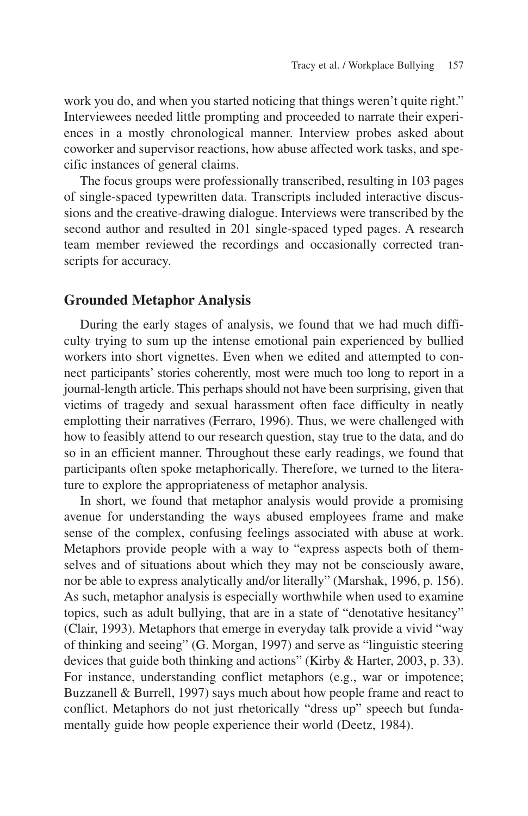work you do, and when you started noticing that things weren't quite right." Interviewees needed little prompting and proceeded to narrate their experiences in a mostly chronological manner. Interview probes asked about coworker and supervisor reactions, how abuse affected work tasks, and specific instances of general claims.

The focus groups were professionally transcribed, resulting in 103 pages of single-spaced typewritten data. Transcripts included interactive discussions and the creative-drawing dialogue. Interviews were transcribed by the second author and resulted in 201 single-spaced typed pages. A research team member reviewed the recordings and occasionally corrected transcripts for accuracy.

### **Grounded Metaphor Analysis**

During the early stages of analysis, we found that we had much difficulty trying to sum up the intense emotional pain experienced by bullied workers into short vignettes. Even when we edited and attempted to connect participants' stories coherently, most were much too long to report in a journal-length article. This perhaps should not have been surprising, given that victims of tragedy and sexual harassment often face difficulty in neatly emplotting their narratives (Ferraro, 1996). Thus, we were challenged with how to feasibly attend to our research question, stay true to the data, and do so in an efficient manner. Throughout these early readings, we found that participants often spoke metaphorically. Therefore, we turned to the literature to explore the appropriateness of metaphor analysis.

In short, we found that metaphor analysis would provide a promising avenue for understanding the ways abused employees frame and make sense of the complex, confusing feelings associated with abuse at work. Metaphors provide people with a way to "express aspects both of themselves and of situations about which they may not be consciously aware, nor be able to express analytically and/or literally" (Marshak, 1996, p. 156). As such, metaphor analysis is especially worthwhile when used to examine topics, such as adult bullying, that are in a state of "denotative hesitancy" (Clair, 1993). Metaphors that emerge in everyday talk provide a vivid "way of thinking and seeing" (G. Morgan, 1997) and serve as "linguistic steering devices that guide both thinking and actions" (Kirby & Harter, 2003, p. 33). For instance, understanding conflict metaphors (e.g., war or impotence; Buzzanell & Burrell, 1997) says much about how people frame and react to conflict. Metaphors do not just rhetorically "dress up" speech but fundamentally guide how people experience their world (Deetz, 1984).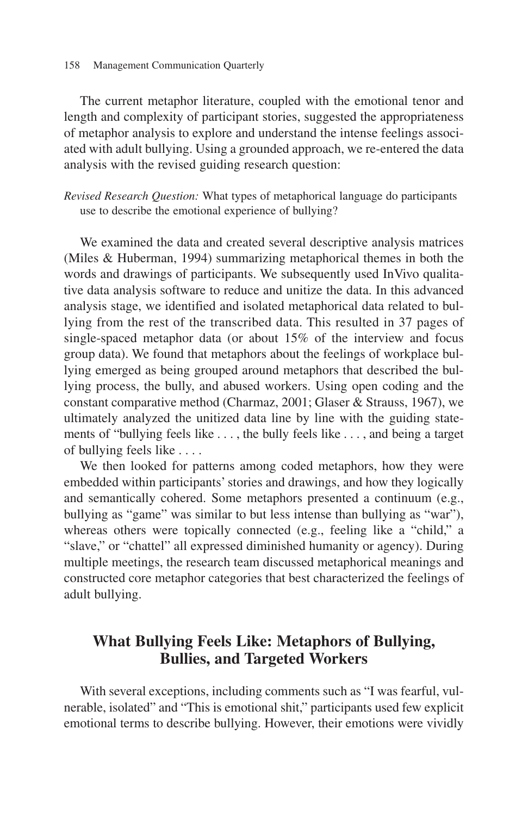The current metaphor literature, coupled with the emotional tenor and length and complexity of participant stories, suggested the appropriateness of metaphor analysis to explore and understand the intense feelings associated with adult bullying. Using a grounded approach, we re-entered the data analysis with the revised guiding research question:

*Revised Research Question:* What types of metaphorical language do participants use to describe the emotional experience of bullying?

We examined the data and created several descriptive analysis matrices (Miles & Huberman, 1994) summarizing metaphorical themes in both the words and drawings of participants. We subsequently used InVivo qualitative data analysis software to reduce and unitize the data. In this advanced analysis stage, we identified and isolated metaphorical data related to bullying from the rest of the transcribed data. This resulted in 37 pages of single-spaced metaphor data (or about 15% of the interview and focus group data). We found that metaphors about the feelings of workplace bullying emerged as being grouped around metaphors that described the bullying process, the bully, and abused workers. Using open coding and the constant comparative method (Charmaz, 2001; Glaser & Strauss, 1967), we ultimately analyzed the unitized data line by line with the guiding statements of "bullying feels like ..., the bully feels like ..., and being a target of bullying feels like ....

We then looked for patterns among coded metaphors, how they were embedded within participants' stories and drawings, and how they logically and semantically cohered. Some metaphors presented a continuum (e.g., bullying as "game" was similar to but less intense than bullying as "war"), whereas others were topically connected (e.g., feeling like a "child," a "slave," or "chattel" all expressed diminished humanity or agency). During multiple meetings, the research team discussed metaphorical meanings and constructed core metaphor categories that best characterized the feelings of adult bullying.

# **What Bullying Feels Like: Metaphors of Bullying, Bullies, and Targeted Workers**

With several exceptions, including comments such as "I was fearful, vulnerable, isolated" and "This is emotional shit," participants used few explicit emotional terms to describe bullying. However, their emotions were vividly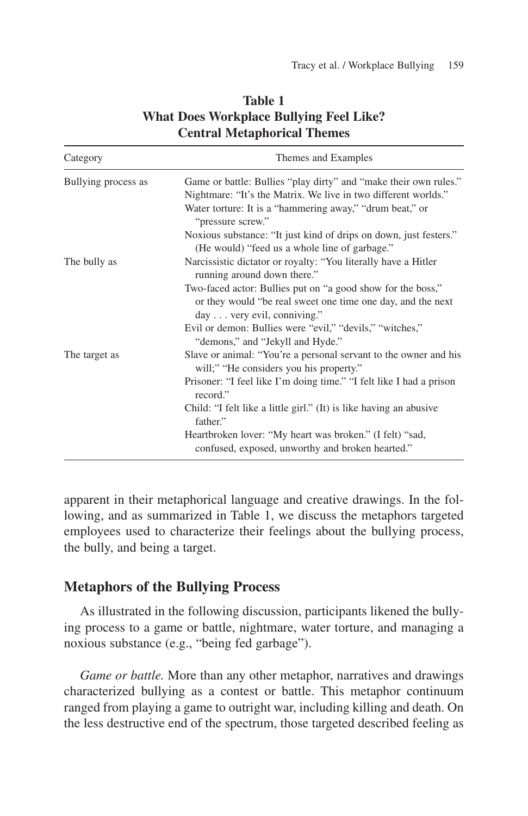| Category            | Themes and Examples                                                                                                                                                                                                 |
|---------------------|---------------------------------------------------------------------------------------------------------------------------------------------------------------------------------------------------------------------|
| Bullying process as | Game or battle: Bullies "play dirty" and "make their own rules."<br>Nightmare: "It's the Matrix. We live in two different worlds."<br>Water torture: It is a "hammering away," "drum beat," or<br>"pressure screw." |
|                     | Noxious substance: "It just kind of drips on down, just festers."<br>(He would) "feed us a whole line of garbage."                                                                                                  |
| The bully as        | Narcissistic dictator or royalty: "You literally have a Hitler<br>running around down there."                                                                                                                       |
|                     | Two-faced actor: Bullies put on "a good show for the boss,"<br>or they would "be real sweet one time one day, and the next<br>day very evil, conniving."                                                            |
|                     | Evil or demon: Bullies were "evil," "devils," "witches,"<br>"demons," and "Jekyll and Hyde."                                                                                                                        |
| The target as       | Slave or animal: "You're a personal servant to the owner and his<br>will;" "He considers you his property."                                                                                                         |
|                     | Prisoner: "I feel like I'm doing time." "I felt like I had a prison<br>record."                                                                                                                                     |
|                     | Child: "I felt like a little girl." (It) is like having an abusive<br>father."                                                                                                                                      |
|                     | Heartbroken lover: "My heart was broken." (I felt) "sad,<br>confused, exposed, unworthy and broken hearted."                                                                                                        |

# **Table 1 What Does Workplace Bullying Feel Like? Central Metaphorical Themes**

apparent in their metaphorical language and creative drawings. In the following, and as summarized in Table 1, we discuss the metaphors targeted employees used to characterize their feelings about the bullying process, the bully, and being a target.

# **Metaphors of the Bullying Process**

As illustrated in the following discussion, participants likened the bullying process to a game or battle, nightmare, water torture, and managing a noxious substance (e.g., "being fed garbage").

*Game or battle.* More than any other metaphor, narratives and drawings characterized bullying as a contest or battle. This metaphor continuum ranged from playing a game to outright war, including killing and death. On the less destructive end of the spectrum, those targeted described feeling as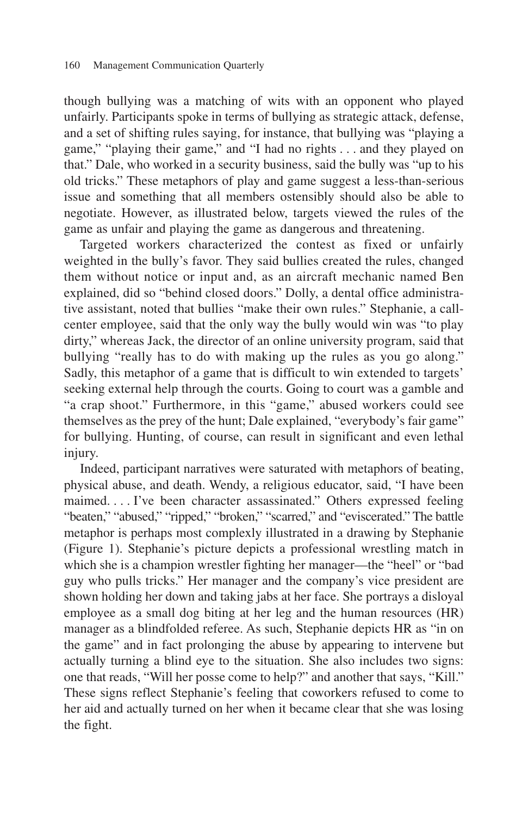though bullying was a matching of wits with an opponent who played unfairly. Participants spoke in terms of bullying as strategic attack, defense, and a set of shifting rules saying, for instance, that bullying was "playing a game," "playing their game," and "I had no rights... and they played on that." Dale, who worked in a security business, said the bully was "up to his old tricks." These metaphors of play and game suggest a less-than-serious issue and something that all members ostensibly should also be able to negotiate. However, as illustrated below, targets viewed the rules of the game as unfair and playing the game as dangerous and threatening.

Targeted workers characterized the contest as fixed or unfairly weighted in the bully's favor. They said bullies created the rules, changed them without notice or input and, as an aircraft mechanic named Ben explained, did so "behind closed doors." Dolly, a dental office administrative assistant, noted that bullies "make their own rules." Stephanie, a callcenter employee, said that the only way the bully would win was "to play dirty," whereas Jack, the director of an online university program, said that bullying "really has to do with making up the rules as you go along." Sadly, this metaphor of a game that is difficult to win extended to targets' seeking external help through the courts. Going to court was a gamble and "a crap shoot." Furthermore, in this "game," abused workers could see themselves as the prey of the hunt; Dale explained, "everybody's fair game" for bullying. Hunting, of course, can result in significant and even lethal injury.

Indeed, participant narratives were saturated with metaphors of beating, physical abuse, and death. Wendy, a religious educator, said, "I have been maimed. . . . I've been character assassinated." Others expressed feeling "beaten," "abused," "ripped," "broken," "scarred," and "eviscerated." The battle metaphor is perhaps most complexly illustrated in a drawing by Stephanie (Figure 1). Stephanie's picture depicts a professional wrestling match in which she is a champion wrestler fighting her manager—the "heel" or "bad guy who pulls tricks." Her manager and the company's vice president are shown holding her down and taking jabs at her face. She portrays a disloyal employee as a small dog biting at her leg and the human resources (HR) manager as a blindfolded referee. As such, Stephanie depicts HR as "in on the game" and in fact prolonging the abuse by appearing to intervene but actually turning a blind eye to the situation. She also includes two signs: one that reads, "Will her posse come to help?" and another that says, "Kill." These signs reflect Stephanie's feeling that coworkers refused to come to her aid and actually turned on her when it became clear that she was losing the fight.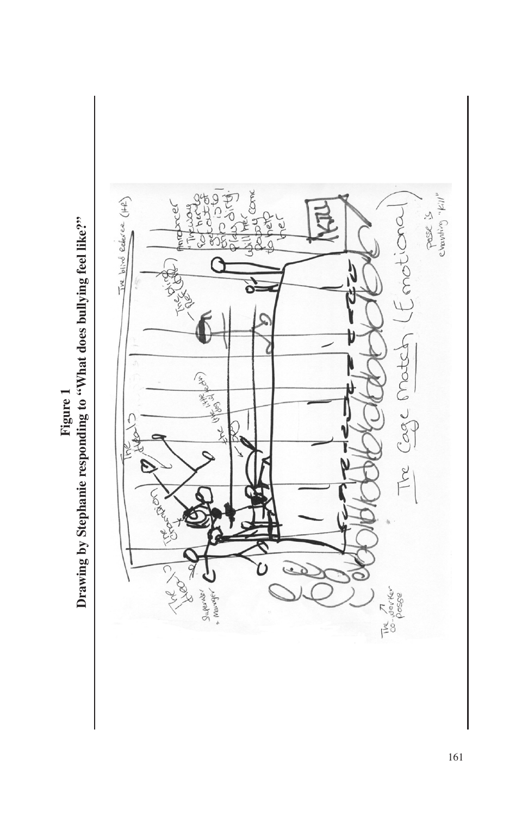Drawing by Stephanie responding to "What does bullying feel like?" **Drawing by Stephanie responding to "What does bullying feel like?"Figure 1**

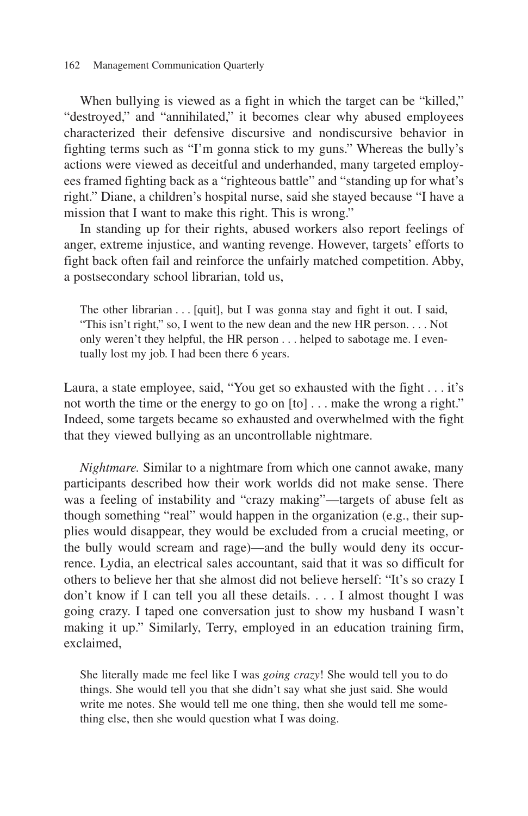When bullying is viewed as a fight in which the target can be "killed," "destroyed," and "annihilated," it becomes clear why abused employees characterized their defensive discursive and nondiscursive behavior in fighting terms such as "I'm gonna stick to my guns." Whereas the bully's actions were viewed as deceitful and underhanded, many targeted employees framed fighting back as a "righteous battle" and "standing up for what's right." Diane, a children's hospital nurse, said she stayed because "I have a mission that I want to make this right. This is wrong."

In standing up for their rights, abused workers also report feelings of anger, extreme injustice, and wanting revenge. However, targets' efforts to fight back often fail and reinforce the unfairly matched competition. Abby, a postsecondary school librarian, told us,

The other librarian... [quit], but I was gonna stay and fight it out. I said, "This isn't right," so, I went to the new dean and the new HR person. . . . Not only weren't they helpful, the HR person... helped to sabotage me. I eventually lost my job. I had been there 6 years.

Laura, a state employee, said, "You get so exhausted with the fight . . . it's not worth the time or the energy to go on [to] . . . make the wrong a right." Indeed, some targets became so exhausted and overwhelmed with the fight that they viewed bullying as an uncontrollable nightmare.

*Nightmare.* Similar to a nightmare from which one cannot awake, many participants described how their work worlds did not make sense. There was a feeling of instability and "crazy making"—targets of abuse felt as though something "real" would happen in the organization (e.g., their supplies would disappear, they would be excluded from a crucial meeting, or the bully would scream and rage)—and the bully would deny its occurrence. Lydia, an electrical sales accountant, said that it was so difficult for others to believe her that she almost did not believe herself: "It's so crazy I don't know if I can tell you all these details. . . . I almost thought I was going crazy. I taped one conversation just to show my husband I wasn't making it up." Similarly, Terry, employed in an education training firm, exclaimed,

She literally made me feel like I was *going crazy*! She would tell you to do things. She would tell you that she didn't say what she just said. She would write me notes. She would tell me one thing, then she would tell me something else, then she would question what I was doing.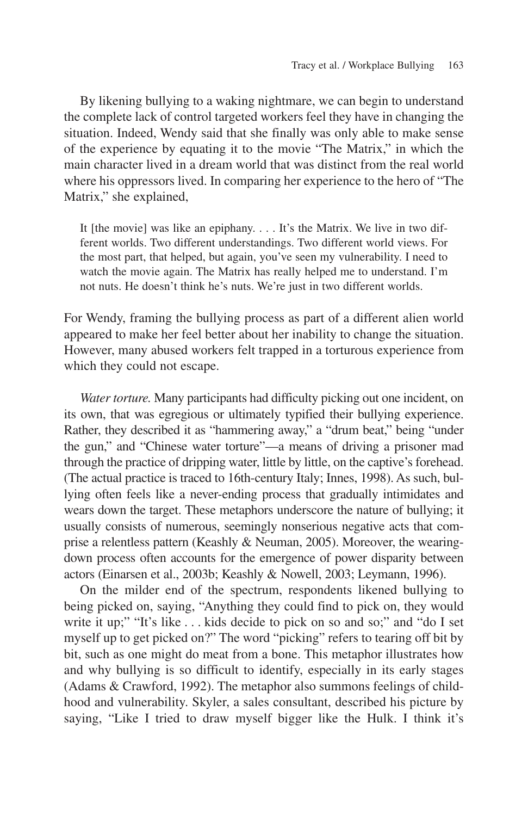By likening bullying to a waking nightmare, we can begin to understand the complete lack of control targeted workers feel they have in changing the situation. Indeed, Wendy said that she finally was only able to make sense of the experience by equating it to the movie "The Matrix," in which the main character lived in a dream world that was distinct from the real world where his oppressors lived. In comparing her experience to the hero of "The Matrix," she explained,

It [the movie] was like an epiphany. . . . It's the Matrix. We live in two different worlds. Two different understandings. Two different world views. For the most part, that helped, but again, you've seen my vulnerability. I need to watch the movie again. The Matrix has really helped me to understand. I'm not nuts. He doesn't think he's nuts. We're just in two different worlds.

For Wendy, framing the bullying process as part of a different alien world appeared to make her feel better about her inability to change the situation. However, many abused workers felt trapped in a torturous experience from which they could not escape.

*Water torture.* Many participants had difficulty picking out one incident, on its own, that was egregious or ultimately typified their bullying experience. Rather, they described it as "hammering away," a "drum beat," being "under the gun," and "Chinese water torture"—a means of driving a prisoner mad through the practice of dripping water, little by little, on the captive's forehead. (The actual practice is traced to 16th-century Italy; Innes, 1998). As such, bullying often feels like a never-ending process that gradually intimidates and wears down the target. These metaphors underscore the nature of bullying; it usually consists of numerous, seemingly nonserious negative acts that comprise a relentless pattern (Keashly & Neuman, 2005). Moreover, the wearingdown process often accounts for the emergence of power disparity between actors (Einarsen et al., 2003b; Keashly & Nowell, 2003; Leymann, 1996).

On the milder end of the spectrum, respondents likened bullying to being picked on, saying, "Anything they could find to pick on, they would write it up;" "It's like . . . kids decide to pick on so and so;" and "do I set myself up to get picked on?" The word "picking" refers to tearing off bit by bit, such as one might do meat from a bone. This metaphor illustrates how and why bullying is so difficult to identify, especially in its early stages (Adams & Crawford, 1992). The metaphor also summons feelings of childhood and vulnerability. Skyler, a sales consultant, described his picture by saying, "Like I tried to draw myself bigger like the Hulk. I think it's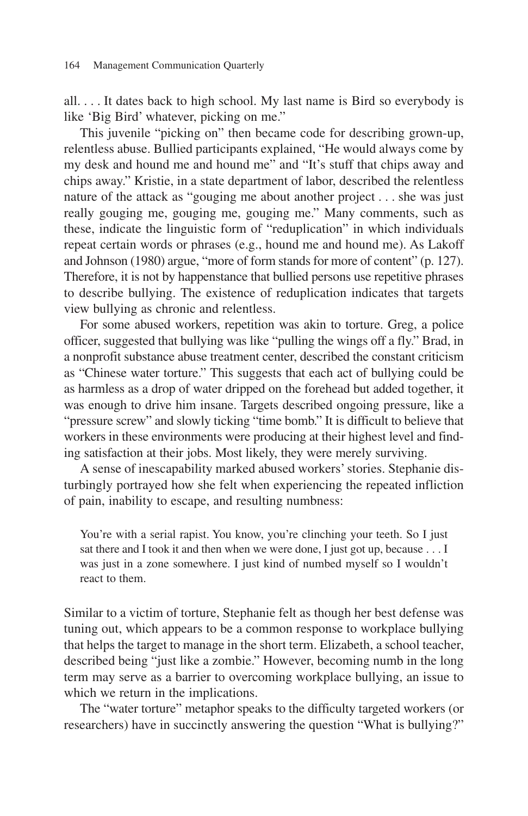all. . . . It dates back to high school. My last name is Bird so everybody is like 'Big Bird' whatever, picking on me."

This juvenile "picking on" then became code for describing grown-up, relentless abuse. Bullied participants explained, "He would always come by my desk and hound me and hound me" and "It's stuff that chips away and chips away." Kristie, in a state department of labor, described the relentless nature of the attack as "gouging me about another project... she was just really gouging me, gouging me, gouging me." Many comments, such as these, indicate the linguistic form of "reduplication" in which individuals repeat certain words or phrases (e.g., hound me and hound me). As Lakoff and Johnson (1980) argue, "more of form stands for more of content" (p. 127). Therefore, it is not by happenstance that bullied persons use repetitive phrases to describe bullying. The existence of reduplication indicates that targets view bullying as chronic and relentless.

For some abused workers, repetition was akin to torture. Greg, a police officer, suggested that bullying was like "pulling the wings off a fly." Brad, in a nonprofit substance abuse treatment center, described the constant criticism as "Chinese water torture." This suggests that each act of bullying could be as harmless as a drop of water dripped on the forehead but added together, it was enough to drive him insane. Targets described ongoing pressure, like a "pressure screw" and slowly ticking "time bomb." It is difficult to believe that workers in these environments were producing at their highest level and finding satisfaction at their jobs. Most likely, they were merely surviving.

A sense of inescapability marked abused workers' stories. Stephanie disturbingly portrayed how she felt when experiencing the repeated infliction of pain, inability to escape, and resulting numbness:

You're with a serial rapist. You know, you're clinching your teeth. So I just sat there and I took it and then when we were done, I just got up, because . . . I was just in a zone somewhere. I just kind of numbed myself so I wouldn't react to them.

Similar to a victim of torture, Stephanie felt as though her best defense was tuning out, which appears to be a common response to workplace bullying that helps the target to manage in the short term. Elizabeth, a school teacher, described being "just like a zombie." However, becoming numb in the long term may serve as a barrier to overcoming workplace bullying, an issue to which we return in the implications.

The "water torture" metaphor speaks to the difficulty targeted workers (or researchers) have in succinctly answering the question "What is bullying?"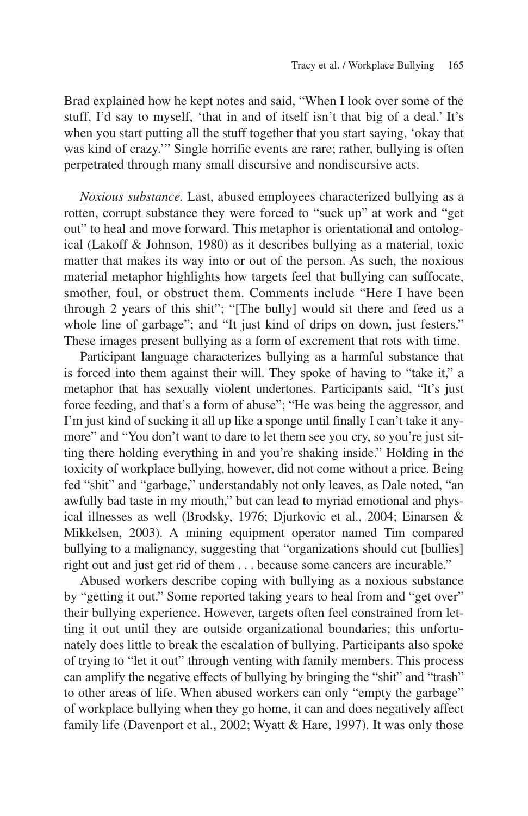Brad explained how he kept notes and said, "When I look over some of the stuff, I'd say to myself, 'that in and of itself isn't that big of a deal.' It's when you start putting all the stuff together that you start saying, 'okay that was kind of crazy.'" Single horrific events are rare; rather, bullying is often perpetrated through many small discursive and nondiscursive acts.

*Noxious substance.* Last, abused employees characterized bullying as a rotten, corrupt substance they were forced to "suck up" at work and "get out" to heal and move forward. This metaphor is orientational and ontological (Lakoff & Johnson, 1980) as it describes bullying as a material, toxic matter that makes its way into or out of the person. As such, the noxious material metaphor highlights how targets feel that bullying can suffocate, smother, foul, or obstruct them. Comments include "Here I have been through 2 years of this shit"; "[The bully] would sit there and feed us a whole line of garbage"; and "It just kind of drips on down, just festers." These images present bullying as a form of excrement that rots with time.

Participant language characterizes bullying as a harmful substance that is forced into them against their will. They spoke of having to "take it," a metaphor that has sexually violent undertones. Participants said, "It's just force feeding, and that's a form of abuse"; "He was being the aggressor, and I'm just kind of sucking it all up like a sponge until finally I can't take it anymore" and "You don't want to dare to let them see you cry, so you're just sitting there holding everything in and you're shaking inside." Holding in the toxicity of workplace bullying, however, did not come without a price. Being fed "shit" and "garbage," understandably not only leaves, as Dale noted, "an awfully bad taste in my mouth," but can lead to myriad emotional and physical illnesses as well (Brodsky, 1976; Djurkovic et al., 2004; Einarsen & Mikkelsen, 2003). A mining equipment operator named Tim compared bullying to a malignancy, suggesting that "organizations should cut [bullies] right out and just get rid of them . . . because some cancers are incurable."

Abused workers describe coping with bullying as a noxious substance by "getting it out." Some reported taking years to heal from and "get over" their bullying experience. However, targets often feel constrained from letting it out until they are outside organizational boundaries; this unfortunately does little to break the escalation of bullying. Participants also spoke of trying to "let it out" through venting with family members. This process can amplify the negative effects of bullying by bringing the "shit" and "trash" to other areas of life. When abused workers can only "empty the garbage" of workplace bullying when they go home, it can and does negatively affect family life (Davenport et al., 2002; Wyatt & Hare, 1997). It was only those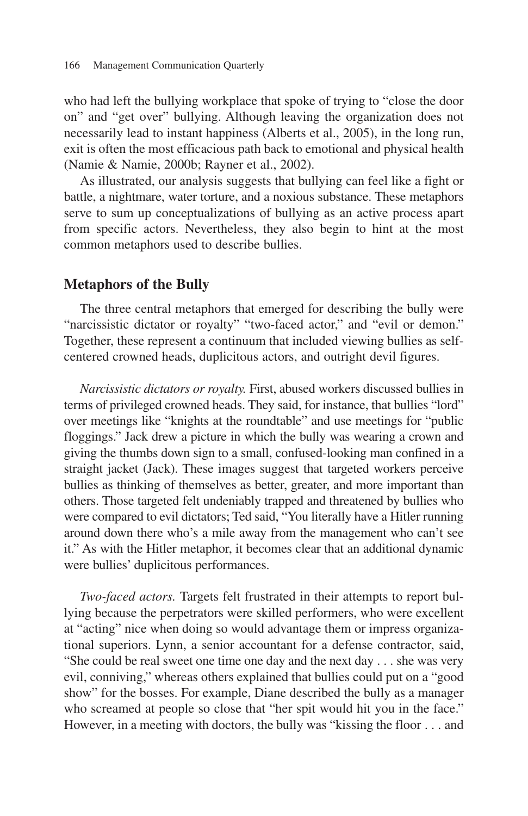who had left the bullying workplace that spoke of trying to "close the door on" and "get over" bullying. Although leaving the organization does not necessarily lead to instant happiness (Alberts et al., 2005), in the long run, exit is often the most efficacious path back to emotional and physical health (Namie & Namie, 2000b; Rayner et al., 2002).

As illustrated, our analysis suggests that bullying can feel like a fight or battle, a nightmare, water torture, and a noxious substance. These metaphors serve to sum up conceptualizations of bullying as an active process apart from specific actors. Nevertheless, they also begin to hint at the most common metaphors used to describe bullies.

### **Metaphors of the Bully**

The three central metaphors that emerged for describing the bully were "narcissistic dictator or royalty" "two-faced actor," and "evil or demon." Together, these represent a continuum that included viewing bullies as selfcentered crowned heads, duplicitous actors, and outright devil figures.

*Narcissistic dictators or royalty.* First, abused workers discussed bullies in terms of privileged crowned heads. They said, for instance, that bullies "lord" over meetings like "knights at the roundtable" and use meetings for "public floggings." Jack drew a picture in which the bully was wearing a crown and giving the thumbs down sign to a small, confused-looking man confined in a straight jacket (Jack). These images suggest that targeted workers perceive bullies as thinking of themselves as better, greater, and more important than others. Those targeted felt undeniably trapped and threatened by bullies who were compared to evil dictators; Ted said, "You literally have a Hitler running around down there who's a mile away from the management who can't see it." As with the Hitler metaphor, it becomes clear that an additional dynamic were bullies' duplicitous performances.

*Two-faced actors.* Targets felt frustrated in their attempts to report bullying because the perpetrators were skilled performers, who were excellent at "acting" nice when doing so would advantage them or impress organizational superiors. Lynn, a senior accountant for a defense contractor, said, "She could be real sweet one time one day and the next day... she was very evil, conniving," whereas others explained that bullies could put on a "good show" for the bosses. For example, Diane described the bully as a manager who screamed at people so close that "her spit would hit you in the face." However, in a meeting with doctors, the bully was "kissing the floor . . . and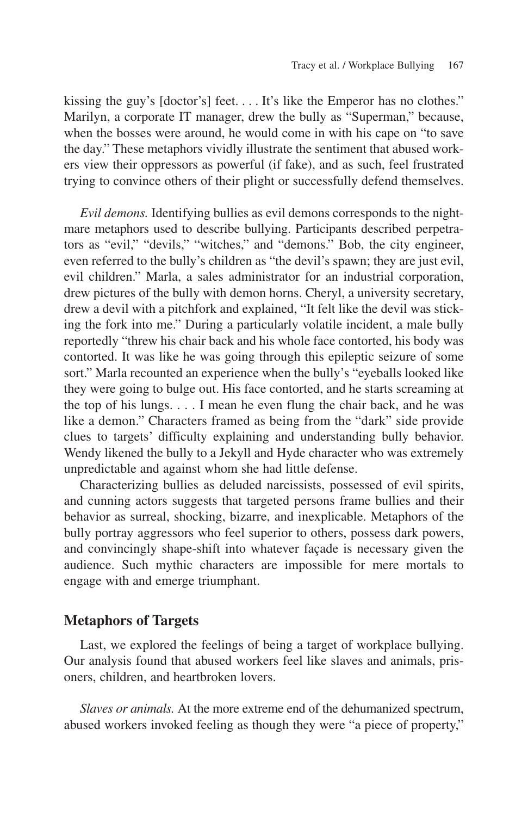kissing the guy's [doctor's] feet. . . . It's like the Emperor has no clothes." Marilyn, a corporate IT manager, drew the bully as "Superman," because, when the bosses were around, he would come in with his cape on "to save the day." These metaphors vividly illustrate the sentiment that abused workers view their oppressors as powerful (if fake), and as such, feel frustrated trying to convince others of their plight or successfully defend themselves.

*Evil demons.* Identifying bullies as evil demons corresponds to the nightmare metaphors used to describe bullying. Participants described perpetrators as "evil," "devils," "witches," and "demons." Bob, the city engineer, even referred to the bully's children as "the devil's spawn; they are just evil, evil children." Marla, a sales administrator for an industrial corporation, drew pictures of the bully with demon horns. Cheryl, a university secretary, drew a devil with a pitchfork and explained, "It felt like the devil was sticking the fork into me." During a particularly volatile incident, a male bully reportedly "threw his chair back and his whole face contorted, his body was contorted. It was like he was going through this epileptic seizure of some sort." Marla recounted an experience when the bully's "eyeballs looked like they were going to bulge out. His face contorted, and he starts screaming at the top of his lungs. . . . I mean he even flung the chair back, and he was like a demon." Characters framed as being from the "dark" side provide clues to targets' difficulty explaining and understanding bully behavior. Wendy likened the bully to a Jekyll and Hyde character who was extremely unpredictable and against whom she had little defense.

Characterizing bullies as deluded narcissists, possessed of evil spirits, and cunning actors suggests that targeted persons frame bullies and their behavior as surreal, shocking, bizarre, and inexplicable. Metaphors of the bully portray aggressors who feel superior to others, possess dark powers, and convincingly shape-shift into whatever façade is necessary given the audience. Such mythic characters are impossible for mere mortals to engage with and emerge triumphant.

# **Metaphors of Targets**

Last, we explored the feelings of being a target of workplace bullying. Our analysis found that abused workers feel like slaves and animals, prisoners, children, and heartbroken lovers.

*Slaves or animals.* At the more extreme end of the dehumanized spectrum, abused workers invoked feeling as though they were "a piece of property,"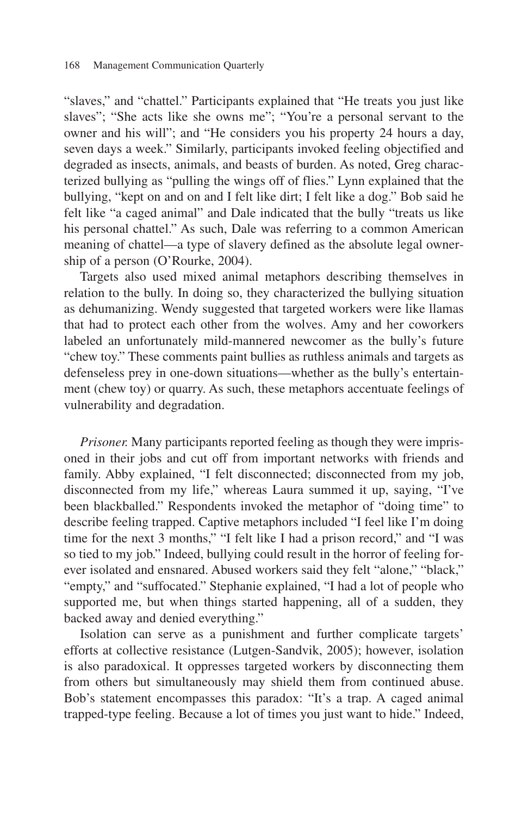"slaves," and "chattel." Participants explained that "He treats you just like slaves"; "She acts like she owns me"; "You're a personal servant to the owner and his will"; and "He considers you his property 24 hours a day, seven days a week." Similarly, participants invoked feeling objectified and degraded as insects, animals, and beasts of burden. As noted, Greg characterized bullying as "pulling the wings off of flies." Lynn explained that the bullying, "kept on and on and I felt like dirt; I felt like a dog." Bob said he felt like "a caged animal" and Dale indicated that the bully "treats us like his personal chattel." As such, Dale was referring to a common American meaning of chattel—a type of slavery defined as the absolute legal ownership of a person (O'Rourke, 2004).

Targets also used mixed animal metaphors describing themselves in relation to the bully. In doing so, they characterized the bullying situation as dehumanizing. Wendy suggested that targeted workers were like llamas that had to protect each other from the wolves. Amy and her coworkers labeled an unfortunately mild-mannered newcomer as the bully's future "chew toy." These comments paint bullies as ruthless animals and targets as defenseless prey in one-down situations—whether as the bully's entertainment (chew toy) or quarry. As such, these metaphors accentuate feelings of vulnerability and degradation.

*Prisoner.* Many participants reported feeling as though they were imprisoned in their jobs and cut off from important networks with friends and family. Abby explained, "I felt disconnected; disconnected from my job, disconnected from my life," whereas Laura summed it up, saying, "I've been blackballed." Respondents invoked the metaphor of "doing time" to describe feeling trapped. Captive metaphors included "I feel like I'm doing time for the next 3 months," "I felt like I had a prison record," and "I was so tied to my job." Indeed, bullying could result in the horror of feeling forever isolated and ensnared. Abused workers said they felt "alone," "black," "empty," and "suffocated." Stephanie explained, "I had a lot of people who supported me, but when things started happening, all of a sudden, they backed away and denied everything."

Isolation can serve as a punishment and further complicate targets' efforts at collective resistance (Lutgen-Sandvik, 2005); however, isolation is also paradoxical. It oppresses targeted workers by disconnecting them from others but simultaneously may shield them from continued abuse. Bob's statement encompasses this paradox: "It's a trap. A caged animal trapped-type feeling. Because a lot of times you just want to hide." Indeed,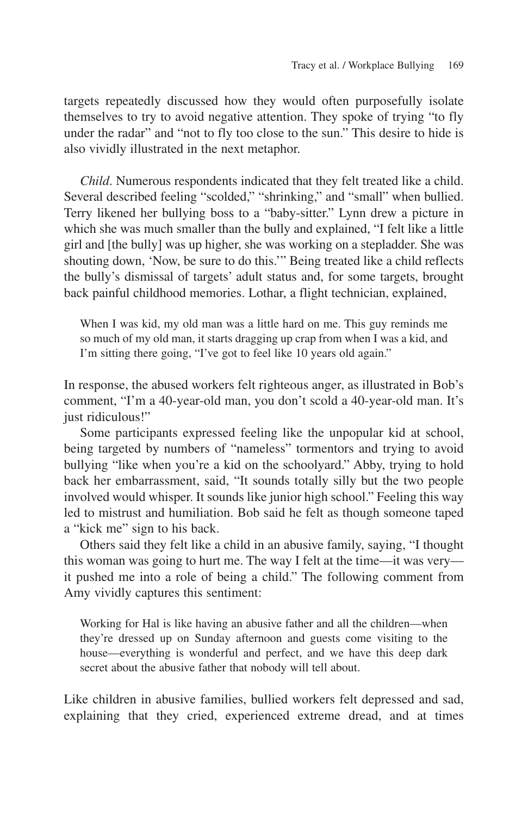targets repeatedly discussed how they would often purposefully isolate themselves to try to avoid negative attention. They spoke of trying "to fly under the radar" and "not to fly too close to the sun." This desire to hide is also vividly illustrated in the next metaphor.

*Child*. Numerous respondents indicated that they felt treated like a child. Several described feeling "scolded," "shrinking," and "small" when bullied. Terry likened her bullying boss to a "baby-sitter." Lynn drew a picture in which she was much smaller than the bully and explained, "I felt like a little girl and [the bully] was up higher, she was working on a stepladder. She was shouting down, 'Now, be sure to do this.'" Being treated like a child reflects the bully's dismissal of targets' adult status and, for some targets, brought back painful childhood memories. Lothar, a flight technician, explained,

When I was kid, my old man was a little hard on me. This guy reminds me so much of my old man, it starts dragging up crap from when I was a kid, and I'm sitting there going, "I've got to feel like 10 years old again."

In response, the abused workers felt righteous anger, as illustrated in Bob's comment, "I'm a 40-year-old man, you don't scold a 40-year-old man. It's just ridiculous!"

Some participants expressed feeling like the unpopular kid at school, being targeted by numbers of "nameless" tormentors and trying to avoid bullying "like when you're a kid on the schoolyard." Abby, trying to hold back her embarrassment, said, "It sounds totally silly but the two people involved would whisper. It sounds like junior high school." Feeling this way led to mistrust and humiliation. Bob said he felt as though someone taped a "kick me" sign to his back.

Others said they felt like a child in an abusive family, saying, "I thought this woman was going to hurt me. The way I felt at the time—it was very it pushed me into a role of being a child." The following comment from Amy vividly captures this sentiment:

Working for Hal is like having an abusive father and all the children—when they're dressed up on Sunday afternoon and guests come visiting to the house—everything is wonderful and perfect, and we have this deep dark secret about the abusive father that nobody will tell about.

Like children in abusive families, bullied workers felt depressed and sad, explaining that they cried, experienced extreme dread, and at times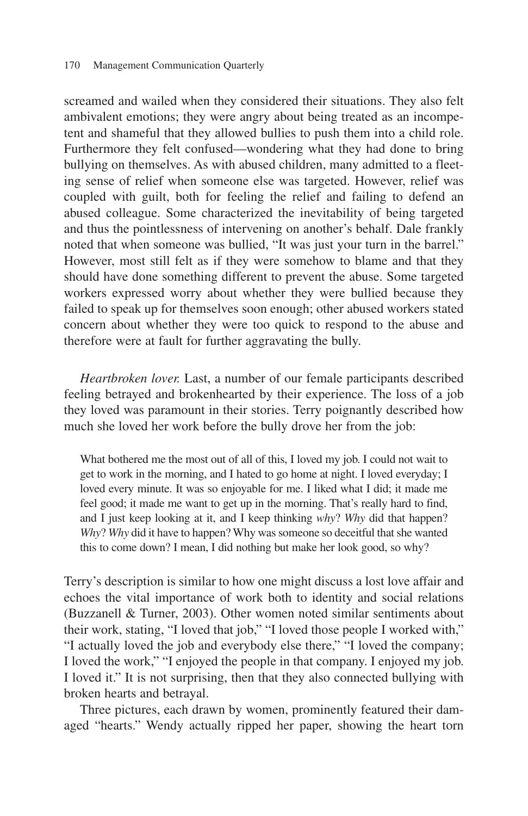screamed and wailed when they considered their situations. They also felt ambivalent emotions; they were angry about being treated as an incompetent and shameful that they allowed bullies to push them into a child role. Furthermore they felt confused—wondering what they had done to bring bullying on themselves. As with abused children, many admitted to a fleeting sense of relief when someone else was targeted. However, relief was coupled with guilt, both for feeling the relief and failing to defend an abused colleague. Some characterized the inevitability of being targeted and thus the pointlessness of intervening on another's behalf. Dale frankly noted that when someone was bullied, "It was just your turn in the barrel." However, most still felt as if they were somehow to blame and that they should have done something different to prevent the abuse. Some targeted workers expressed worry about whether they were bullied because they failed to speak up for themselves soon enough; other abused workers stated concern about whether they were too quick to respond to the abuse and therefore were at fault for further aggravating the bully.

*Heartbroken lover.* Last, a number of our female participants described feeling betrayed and brokenhearted by their experience. The loss of a job they loved was paramount in their stories. Terry poignantly described how much she loved her work before the bully drove her from the job:

What bothered me the most out of all of this, I loved my job. I could not wait to get to work in the morning, and I hated to go home at night. I loved everyday; I loved every minute. It was so enjoyable for me. I liked what I did; it made me feel good; it made me want to get up in the morning. That's really hard to find, and I just keep looking at it, and I keep thinking *why*? *Why* did that happen? *Why*? *Why* did it have to happen? Why was someone so deceitful that she wanted this to come down? I mean, I did nothing but make her look good, so why?

Terry's description is similar to how one might discuss a lost love affair and echoes the vital importance of work both to identity and social relations (Buzzanell & Turner, 2003). Other women noted similar sentiments about their work, stating, "I loved that job," "I loved those people I worked with," "I actually loved the job and everybody else there," "I loved the company; I loved the work," "I enjoyed the people in that company. I enjoyed my job. I loved it." It is not surprising, then that they also connected bullying with broken hearts and betrayal.

Three pictures, each drawn by women, prominently featured their damaged "hearts." Wendy actually ripped her paper, showing the heart torn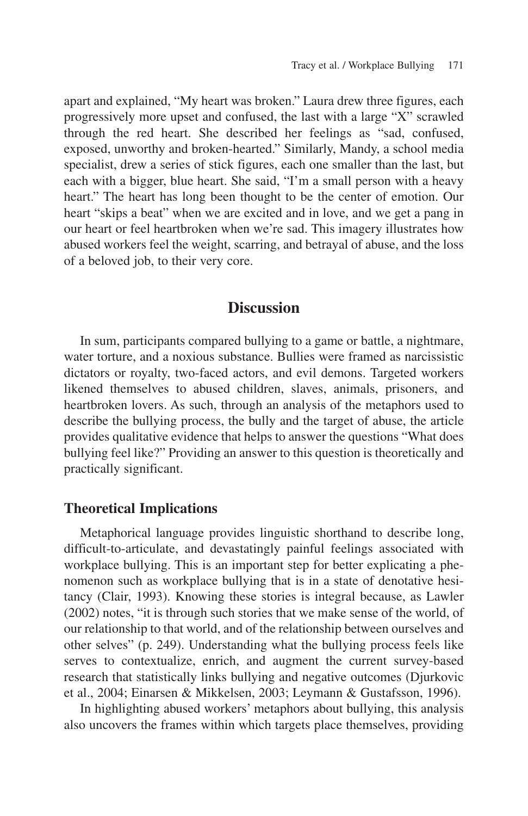apart and explained, "My heart was broken." Laura drew three figures, each progressively more upset and confused, the last with a large "X" scrawled through the red heart. She described her feelings as "sad, confused, exposed, unworthy and broken-hearted." Similarly, Mandy, a school media specialist, drew a series of stick figures, each one smaller than the last, but each with a bigger, blue heart. She said, "I'm a small person with a heavy heart." The heart has long been thought to be the center of emotion. Our heart "skips a beat" when we are excited and in love, and we get a pang in our heart or feel heartbroken when we're sad. This imagery illustrates how abused workers feel the weight, scarring, and betrayal of abuse, and the loss of a beloved job, to their very core.

# **Discussion**

In sum, participants compared bullying to a game or battle, a nightmare, water torture, and a noxious substance. Bullies were framed as narcissistic dictators or royalty, two-faced actors, and evil demons. Targeted workers likened themselves to abused children, slaves, animals, prisoners, and heartbroken lovers. As such, through an analysis of the metaphors used to describe the bullying process, the bully and the target of abuse, the article provides qualitative evidence that helps to answer the questions "What does bullying feel like?" Providing an answer to this question is theoretically and practically significant.

#### **Theoretical Implications**

Metaphorical language provides linguistic shorthand to describe long, difficult-to-articulate, and devastatingly painful feelings associated with workplace bullying. This is an important step for better explicating a phenomenon such as workplace bullying that is in a state of denotative hesitancy (Clair, 1993). Knowing these stories is integral because, as Lawler (2002) notes, "it is through such stories that we make sense of the world, of our relationship to that world, and of the relationship between ourselves and other selves" (p. 249). Understanding what the bullying process feels like serves to contextualize, enrich, and augment the current survey-based research that statistically links bullying and negative outcomes (Djurkovic et al., 2004; Einarsen & Mikkelsen, 2003; Leymann & Gustafsson, 1996).

In highlighting abused workers' metaphors about bullying, this analysis also uncovers the frames within which targets place themselves, providing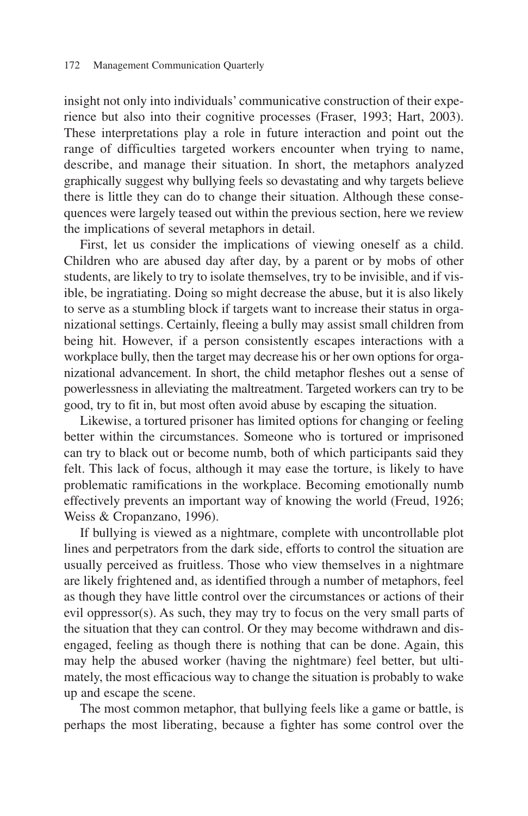insight not only into individuals' communicative construction of their experience but also into their cognitive processes (Fraser, 1993; Hart, 2003). These interpretations play a role in future interaction and point out the range of difficulties targeted workers encounter when trying to name, describe, and manage their situation. In short, the metaphors analyzed graphically suggest why bullying feels so devastating and why targets believe there is little they can do to change their situation. Although these consequences were largely teased out within the previous section, here we review the implications of several metaphors in detail.

First, let us consider the implications of viewing oneself as a child. Children who are abused day after day, by a parent or by mobs of other students, are likely to try to isolate themselves, try to be invisible, and if visible, be ingratiating. Doing so might decrease the abuse, but it is also likely to serve as a stumbling block if targets want to increase their status in organizational settings. Certainly, fleeing a bully may assist small children from being hit. However, if a person consistently escapes interactions with a workplace bully, then the target may decrease his or her own options for organizational advancement. In short, the child metaphor fleshes out a sense of powerlessness in alleviating the maltreatment. Targeted workers can try to be good, try to fit in, but most often avoid abuse by escaping the situation.

Likewise, a tortured prisoner has limited options for changing or feeling better within the circumstances. Someone who is tortured or imprisoned can try to black out or become numb, both of which participants said they felt. This lack of focus, although it may ease the torture, is likely to have problematic ramifications in the workplace. Becoming emotionally numb effectively prevents an important way of knowing the world (Freud, 1926; Weiss & Cropanzano, 1996).

If bullying is viewed as a nightmare, complete with uncontrollable plot lines and perpetrators from the dark side, efforts to control the situation are usually perceived as fruitless. Those who view themselves in a nightmare are likely frightened and, as identified through a number of metaphors, feel as though they have little control over the circumstances or actions of their evil oppressor(s). As such, they may try to focus on the very small parts of the situation that they can control. Or they may become withdrawn and disengaged, feeling as though there is nothing that can be done. Again, this may help the abused worker (having the nightmare) feel better, but ultimately, the most efficacious way to change the situation is probably to wake up and escape the scene.

The most common metaphor, that bullying feels like a game or battle, is perhaps the most liberating, because a fighter has some control over the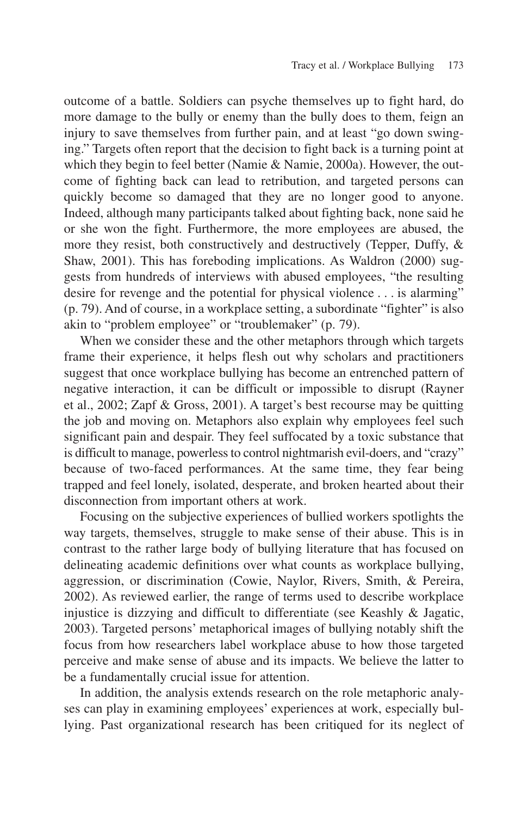outcome of a battle. Soldiers can psyche themselves up to fight hard, do more damage to the bully or enemy than the bully does to them, feign an injury to save themselves from further pain, and at least "go down swinging." Targets often report that the decision to fight back is a turning point at which they begin to feel better (Namie & Namie, 2000a). However, the outcome of fighting back can lead to retribution, and targeted persons can quickly become so damaged that they are no longer good to anyone. Indeed, although many participants talked about fighting back, none said he or she won the fight. Furthermore, the more employees are abused, the more they resist, both constructively and destructively (Tepper, Duffy, & Shaw, 2001). This has foreboding implications. As Waldron (2000) suggests from hundreds of interviews with abused employees, "the resulting desire for revenge and the potential for physical violence . . . is alarming" (p. 79). And of course, in a workplace setting, a subordinate "fighter" is also akin to "problem employee" or "troublemaker" (p. 79).

When we consider these and the other metaphors through which targets frame their experience, it helps flesh out why scholars and practitioners suggest that once workplace bullying has become an entrenched pattern of negative interaction, it can be difficult or impossible to disrupt (Rayner et al., 2002; Zapf & Gross, 2001). A target's best recourse may be quitting the job and moving on. Metaphors also explain why employees feel such significant pain and despair. They feel suffocated by a toxic substance that is difficult to manage, powerless to control nightmarish evil-doers, and "crazy" because of two-faced performances. At the same time, they fear being trapped and feel lonely, isolated, desperate, and broken hearted about their disconnection from important others at work.

Focusing on the subjective experiences of bullied workers spotlights the way targets, themselves, struggle to make sense of their abuse. This is in contrast to the rather large body of bullying literature that has focused on delineating academic definitions over what counts as workplace bullying, aggression, or discrimination (Cowie, Naylor, Rivers, Smith, & Pereira, 2002). As reviewed earlier, the range of terms used to describe workplace injustice is dizzying and difficult to differentiate (see Keashly & Jagatic, 2003). Targeted persons' metaphorical images of bullying notably shift the focus from how researchers label workplace abuse to how those targeted perceive and make sense of abuse and its impacts. We believe the latter to be a fundamentally crucial issue for attention.

In addition, the analysis extends research on the role metaphoric analyses can play in examining employees' experiences at work, especially bullying. Past organizational research has been critiqued for its neglect of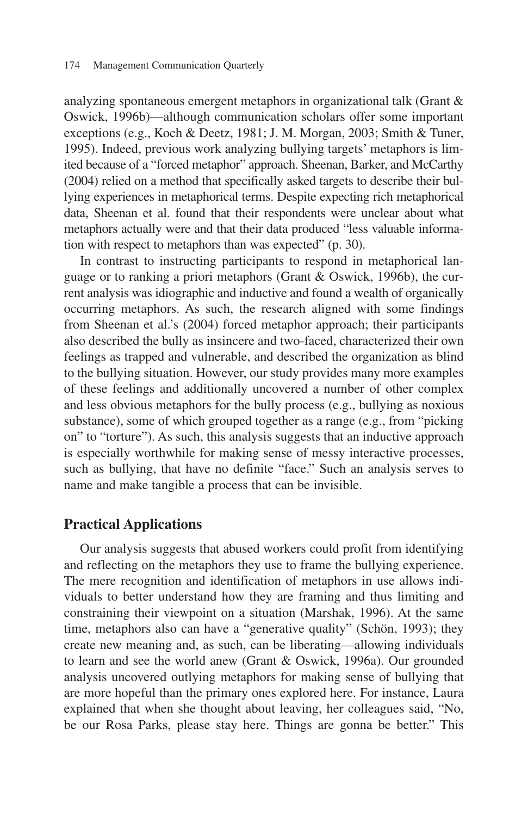analyzing spontaneous emergent metaphors in organizational talk (Grant & Oswick, 1996b)—although communication scholars offer some important exceptions (e.g., Koch & Deetz, 1981; J. M. Morgan, 2003; Smith & Tuner, 1995). Indeed, previous work analyzing bullying targets' metaphors is limited because of a "forced metaphor" approach. Sheenan, Barker, and McCarthy (2004) relied on a method that specifically asked targets to describe their bullying experiences in metaphorical terms. Despite expecting rich metaphorical data, Sheenan et al. found that their respondents were unclear about what metaphors actually were and that their data produced "less valuable information with respect to metaphors than was expected" (p. 30).

In contrast to instructing participants to respond in metaphorical language or to ranking a priori metaphors (Grant & Oswick, 1996b), the current analysis was idiographic and inductive and found a wealth of organically occurring metaphors. As such, the research aligned with some findings from Sheenan et al.'s (2004) forced metaphor approach; their participants also described the bully as insincere and two-faced, characterized their own feelings as trapped and vulnerable, and described the organization as blind to the bullying situation. However, our study provides many more examples of these feelings and additionally uncovered a number of other complex and less obvious metaphors for the bully process (e.g., bullying as noxious substance), some of which grouped together as a range (e.g., from "picking on" to "torture"). As such, this analysis suggests that an inductive approach is especially worthwhile for making sense of messy interactive processes, such as bullying, that have no definite "face." Such an analysis serves to name and make tangible a process that can be invisible.

# **Practical Applications**

Our analysis suggests that abused workers could profit from identifying and reflecting on the metaphors they use to frame the bullying experience. The mere recognition and identification of metaphors in use allows individuals to better understand how they are framing and thus limiting and constraining their viewpoint on a situation (Marshak, 1996). At the same time, metaphors also can have a "generative quality" (Schön, 1993); they create new meaning and, as such, can be liberating—allowing individuals to learn and see the world anew (Grant & Oswick, 1996a). Our grounded analysis uncovered outlying metaphors for making sense of bullying that are more hopeful than the primary ones explored here. For instance, Laura explained that when she thought about leaving, her colleagues said, "No, be our Rosa Parks, please stay here. Things are gonna be better." This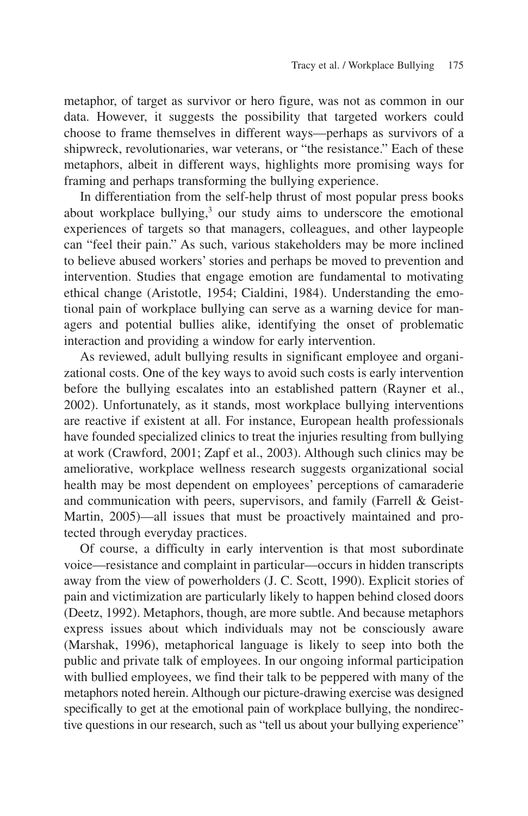metaphor, of target as survivor or hero figure, was not as common in our data. However, it suggests the possibility that targeted workers could choose to frame themselves in different ways—perhaps as survivors of a shipwreck, revolutionaries, war veterans, or "the resistance." Each of these metaphors, albeit in different ways, highlights more promising ways for framing and perhaps transforming the bullying experience.

In differentiation from the self-help thrust of most popular press books about workplace bullying, $3$  our study aims to underscore the emotional experiences of targets so that managers, colleagues, and other laypeople can "feel their pain." As such, various stakeholders may be more inclined to believe abused workers' stories and perhaps be moved to prevention and intervention. Studies that engage emotion are fundamental to motivating ethical change (Aristotle, 1954; Cialdini, 1984). Understanding the emotional pain of workplace bullying can serve as a warning device for managers and potential bullies alike, identifying the onset of problematic interaction and providing a window for early intervention.

As reviewed, adult bullying results in significant employee and organizational costs. One of the key ways to avoid such costs is early intervention before the bullying escalates into an established pattern (Rayner et al., 2002). Unfortunately, as it stands, most workplace bullying interventions are reactive if existent at all. For instance, European health professionals have founded specialized clinics to treat the injuries resulting from bullying at work (Crawford, 2001; Zapf et al., 2003). Although such clinics may be ameliorative, workplace wellness research suggests organizational social health may be most dependent on employees' perceptions of camaraderie and communication with peers, supervisors, and family (Farrell & Geist-Martin, 2005)—all issues that must be proactively maintained and protected through everyday practices.

Of course, a difficulty in early intervention is that most subordinate voice—resistance and complaint in particular—occurs in hidden transcripts away from the view of powerholders (J. C. Scott, 1990). Explicit stories of pain and victimization are particularly likely to happen behind closed doors (Deetz, 1992). Metaphors, though, are more subtle. And because metaphors express issues about which individuals may not be consciously aware (Marshak, 1996), metaphorical language is likely to seep into both the public and private talk of employees. In our ongoing informal participation with bullied employees, we find their talk to be peppered with many of the metaphors noted herein. Although our picture-drawing exercise was designed specifically to get at the emotional pain of workplace bullying, the nondirective questions in our research, such as "tell us about your bullying experience"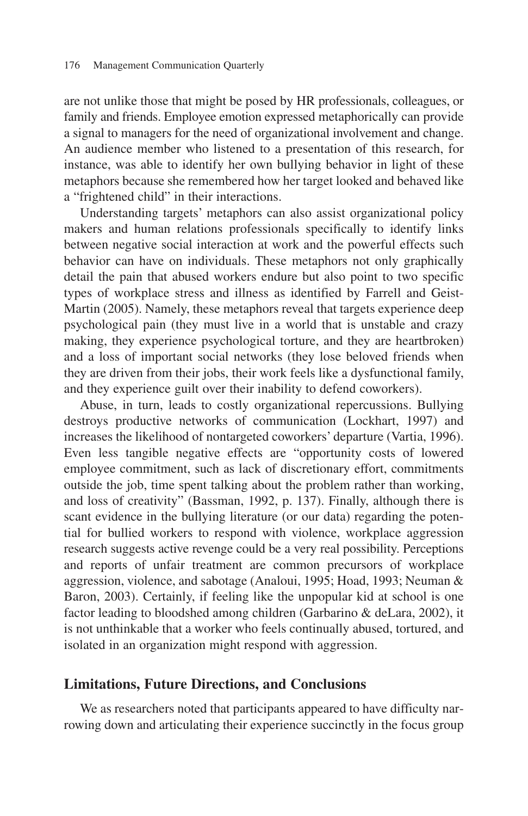are not unlike those that might be posed by HR professionals, colleagues, or family and friends. Employee emotion expressed metaphorically can provide a signal to managers for the need of organizational involvement and change. An audience member who listened to a presentation of this research, for instance, was able to identify her own bullying behavior in light of these metaphors because she remembered how her target looked and behaved like a "frightened child" in their interactions.

Understanding targets' metaphors can also assist organizational policy makers and human relations professionals specifically to identify links between negative social interaction at work and the powerful effects such behavior can have on individuals. These metaphors not only graphically detail the pain that abused workers endure but also point to two specific types of workplace stress and illness as identified by Farrell and Geist-Martin (2005). Namely, these metaphors reveal that targets experience deep psychological pain (they must live in a world that is unstable and crazy making, they experience psychological torture, and they are heartbroken) and a loss of important social networks (they lose beloved friends when they are driven from their jobs, their work feels like a dysfunctional family, and they experience guilt over their inability to defend coworkers).

Abuse, in turn, leads to costly organizational repercussions. Bullying destroys productive networks of communication (Lockhart, 1997) and increases the likelihood of nontargeted coworkers' departure (Vartia, 1996). Even less tangible negative effects are "opportunity costs of lowered employee commitment, such as lack of discretionary effort, commitments outside the job, time spent talking about the problem rather than working, and loss of creativity" (Bassman, 1992, p. 137). Finally, although there is scant evidence in the bullying literature (or our data) regarding the potential for bullied workers to respond with violence, workplace aggression research suggests active revenge could be a very real possibility. Perceptions and reports of unfair treatment are common precursors of workplace aggression, violence, and sabotage (Analoui, 1995; Hoad, 1993; Neuman & Baron, 2003). Certainly, if feeling like the unpopular kid at school is one factor leading to bloodshed among children (Garbarino & deLara, 2002), it is not unthinkable that a worker who feels continually abused, tortured, and isolated in an organization might respond with aggression.

#### **Limitations, Future Directions, and Conclusions**

We as researchers noted that participants appeared to have difficulty narrowing down and articulating their experience succinctly in the focus group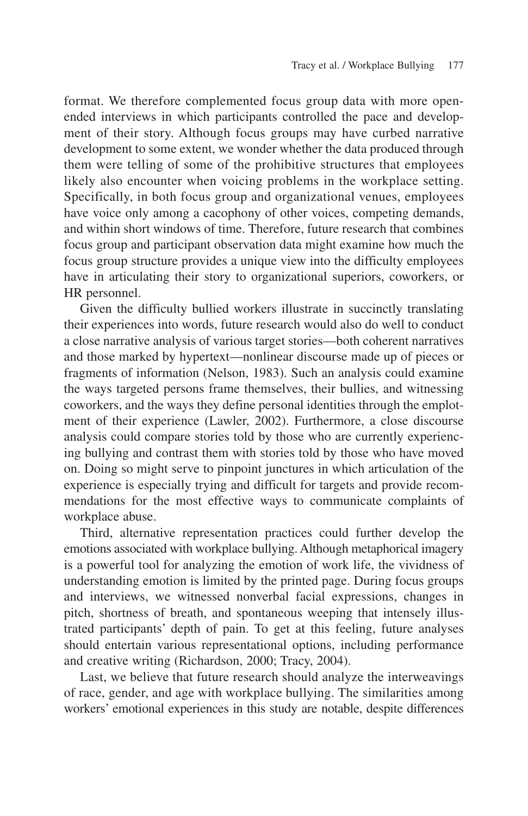format. We therefore complemented focus group data with more openended interviews in which participants controlled the pace and development of their story. Although focus groups may have curbed narrative development to some extent, we wonder whether the data produced through them were telling of some of the prohibitive structures that employees likely also encounter when voicing problems in the workplace setting. Specifically, in both focus group and organizational venues, employees have voice only among a cacophony of other voices, competing demands, and within short windows of time. Therefore, future research that combines focus group and participant observation data might examine how much the focus group structure provides a unique view into the difficulty employees have in articulating their story to organizational superiors, coworkers, or HR personnel.

Given the difficulty bullied workers illustrate in succinctly translating their experiences into words, future research would also do well to conduct a close narrative analysis of various target stories—both coherent narratives and those marked by hypertext—nonlinear discourse made up of pieces or fragments of information (Nelson, 1983). Such an analysis could examine the ways targeted persons frame themselves, their bullies, and witnessing coworkers, and the ways they define personal identities through the emplotment of their experience (Lawler, 2002). Furthermore, a close discourse analysis could compare stories told by those who are currently experiencing bullying and contrast them with stories told by those who have moved on. Doing so might serve to pinpoint junctures in which articulation of the experience is especially trying and difficult for targets and provide recommendations for the most effective ways to communicate complaints of workplace abuse.

Third, alternative representation practices could further develop the emotions associated with workplace bullying. Although metaphorical imagery is a powerful tool for analyzing the emotion of work life, the vividness of understanding emotion is limited by the printed page. During focus groups and interviews, we witnessed nonverbal facial expressions, changes in pitch, shortness of breath, and spontaneous weeping that intensely illustrated participants' depth of pain. To get at this feeling, future analyses should entertain various representational options, including performance and creative writing (Richardson, 2000; Tracy, 2004).

Last, we believe that future research should analyze the interweavings of race, gender, and age with workplace bullying. The similarities among workers' emotional experiences in this study are notable, despite differences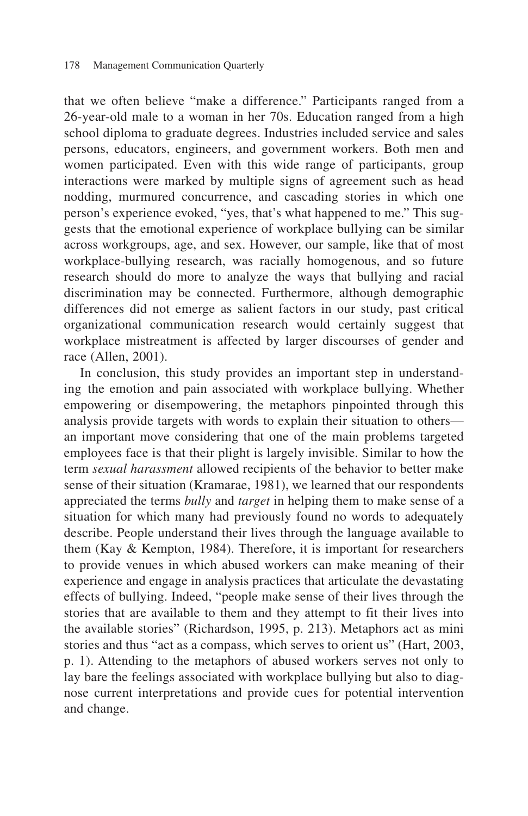that we often believe "make a difference." Participants ranged from a 26-year-old male to a woman in her 70s. Education ranged from a high school diploma to graduate degrees. Industries included service and sales persons, educators, engineers, and government workers. Both men and women participated. Even with this wide range of participants, group interactions were marked by multiple signs of agreement such as head nodding, murmured concurrence, and cascading stories in which one person's experience evoked, "yes, that's what happened to me." This suggests that the emotional experience of workplace bullying can be similar across workgroups, age, and sex. However, our sample, like that of most workplace-bullying research, was racially homogenous, and so future research should do more to analyze the ways that bullying and racial discrimination may be connected. Furthermore, although demographic differences did not emerge as salient factors in our study, past critical organizational communication research would certainly suggest that workplace mistreatment is affected by larger discourses of gender and race (Allen, 2001).

In conclusion, this study provides an important step in understanding the emotion and pain associated with workplace bullying. Whether empowering or disempowering, the metaphors pinpointed through this analysis provide targets with words to explain their situation to others an important move considering that one of the main problems targeted employees face is that their plight is largely invisible. Similar to how the term *sexual harassment* allowed recipients of the behavior to better make sense of their situation (Kramarae, 1981), we learned that our respondents appreciated the terms *bully* and *target* in helping them to make sense of a situation for which many had previously found no words to adequately describe. People understand their lives through the language available to them (Kay & Kempton, 1984). Therefore, it is important for researchers to provide venues in which abused workers can make meaning of their experience and engage in analysis practices that articulate the devastating effects of bullying. Indeed, "people make sense of their lives through the stories that are available to them and they attempt to fit their lives into the available stories" (Richardson, 1995, p. 213). Metaphors act as mini stories and thus "act as a compass, which serves to orient us" (Hart, 2003, p. 1). Attending to the metaphors of abused workers serves not only to lay bare the feelings associated with workplace bullying but also to diagnose current interpretations and provide cues for potential intervention and change.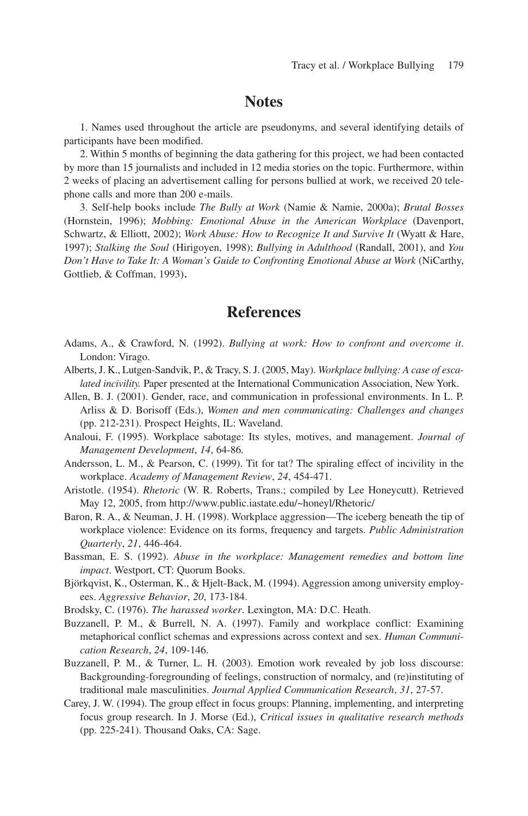# **Notes**

1. Names used throughout the article are pseudonyms, and several identifying details of participants have been modified.

2. Within 5 months of beginning the data gathering for this project, we had been contacted by more than 15 journalists and included in 12 media stories on the topic. Furthermore, within 2 weeks of placing an advertisement calling for persons bullied at work, we received 20 telephone calls and more than 200 e-mails.

3. Self-help books include *The Bully at Work* (Namie & Namie, 2000a); *Brutal Bosses* (Hornstein, 1996); *Mobbing: Emotional Abuse in the American Workplace* (Davenport, Schwartz, & Elliott, 2002); *Work Abuse: How to Recognize It and Survive It* (Wyatt & Hare, 1997); *Stalking the Soul* (Hirigoyen, 1998); *Bullying in Adulthood* (Randall, 2001), and *You Don't Have to Take It: A Woman's Guide to Confronting Emotional Abuse at Work* (NiCarthy, Gottlieb, & Coffman, 1993).

# **References**

- Adams, A., & Crawford, N. (1992). *Bullying at work: How to confront and overcome it*. London: Virago.
- Alberts, J. K., Lutgen-Sandvik, P., & Tracy, S. J. (2005, May). *Workplace bullying: A case of escalated incivility.* Paper presented at the International Communication Association, New York.
- Allen, B. J. (2001). Gender, race, and communication in professional environments. In L. P. Arliss & D. Borisoff (Eds.), *Women and men communicating: Challenges and changes* (pp. 212-231). Prospect Heights, IL: Waveland.
- Analoui, F. (1995). Workplace sabotage: Its styles, motives, and management. *Journal of Management Development*, *14*, 64-86*.*
- Andersson, L. M., & Pearson, C. (1999). Tit for tat? The spiraling effect of incivility in the workplace. *Academy of Management Review*, *24*, 454-471.
- Aristotle. (1954). *Rhetoric* (W. R. Roberts, Trans.; compiled by Lee Honeycutt). Retrieved May 12, 2005, from http://www.public.iastate.edu/~honeyl/Rhetoric/
- Baron, R. A., & Neuman, J. H. (1998). Workplace aggression—The iceberg beneath the tip of workplace violence: Evidence on its forms, frequency and targets. *Public Administration Quarterly*, *21*, 446-464.
- Bassman, E. S. (1992). *Abuse in the workplace: Management remedies and bottom line impact*. Westport, CT: Quorum Books.
- Björkqvist, K., Osterman, K., & Hjelt-Back, M. (1994). Aggression among university employees. *Aggressive Behavior*, *20*, 173-184.
- Brodsky, C. (1976). *The harassed worker*. Lexington, MA: D.C. Heath.
- Buzzanell, P. M., & Burrell, N. A. (1997). Family and workplace conflict: Examining metaphorical conflict schemas and expressions across context and sex. *Human Communication Research*, *24*, 109-146.
- Buzzanell, P. M., & Turner, L. H. (2003). Emotion work revealed by job loss discourse: Backgrounding-foregrounding of feelings, construction of normalcy, and (re)instituting of traditional male masculinities. *Journal Applied Communication Research*, *31*, 27-57.
- Carey, J. W. (1994). The group effect in focus groups: Planning, implementing, and interpreting focus group research. In J. Morse (Ed.), *Critical issues in qualitative research methods* (pp. 225-241). Thousand Oaks, CA: Sage.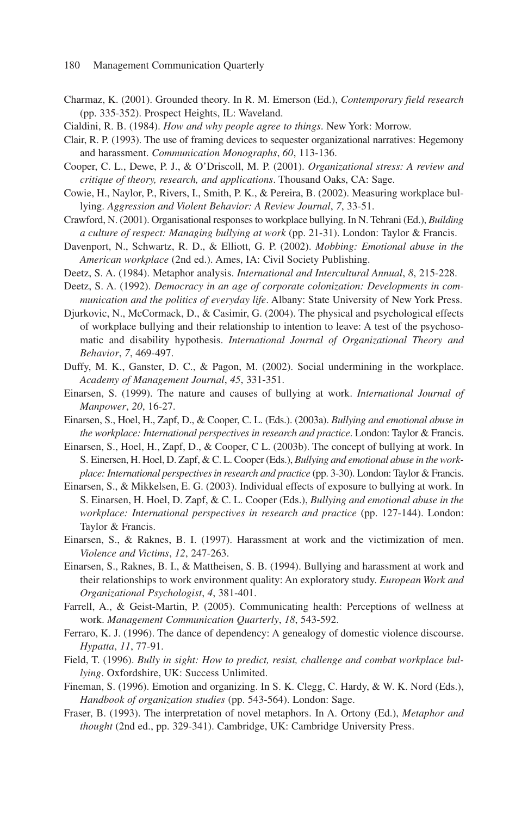- Charmaz, K. (2001). Grounded theory. In R. M. Emerson (Ed.), *Contemporary field research* (pp. 335-352). Prospect Heights, IL: Waveland.
- Cialdini, R. B. (1984). *How and why people agree to things*. New York: Morrow.
- Clair, R. P. (1993). The use of framing devices to sequester organizational narratives: Hegemony and harassment. *Communication Monographs*, *60*, 113-136.
- Cooper, C. L., Dewe, P. J., & O'Driscoll, M. P. (2001). *Organizational stress: A review and critique of theory, research, and applications*. Thousand Oaks, CA: Sage.
- Cowie, H., Naylor, P., Rivers, I., Smith, P. K., & Pereira, B. (2002). Measuring workplace bullying. *Aggression and Violent Behavior: A Review Journal*, *7*, 33-51.
- Crawford, N. (2001). Organisational responses to workplace bullying. In N. Tehrani (Ed.), *Building a culture of respect: Managing bullying at work* (pp. 21-31). London: Taylor & Francis.
- Davenport, N., Schwartz, R. D., & Elliott, G. P. (2002). *Mobbing: Emotional abuse in the American workplace* (2nd ed.). Ames, IA: Civil Society Publishing.
- Deetz, S. A. (1984). Metaphor analysis. *International and Intercultural Annual*, *8*, 215-228.
- Deetz, S. A. (1992). *Democracy in an age of corporate colonization: Developments in communication and the politics of everyday life*. Albany: State University of New York Press.
- Djurkovic, N., McCormack, D., & Casimir, G. (2004). The physical and psychological effects of workplace bullying and their relationship to intention to leave: A test of the psychosomatic and disability hypothesis. *International Journal of Organizational Theory and Behavior*, *7*, 469-497.
- Duffy, M. K., Ganster, D. C., & Pagon, M. (2002). Social undermining in the workplace. *Academy of Management Journal*, *45*, 331-351.
- Einarsen, S. (1999). The nature and causes of bullying at work. *International Journal of Manpower*, *20*, 16-27.
- Einarsen, S., Hoel, H., Zapf, D., & Cooper, C. L. (Eds.). (2003a). *Bullying and emotional abuse in the workplace: International perspectives in research and practice*. London: Taylor & Francis.
- Einarsen, S., Hoel, H., Zapf, D., & Cooper, C L. (2003b). The concept of bullying at work. In S. Einersen, H. Hoel, D. Zapf, & C. L. Cooper (Eds.), *Bullying and emotional abuse in the workplace: International perspectives in research and practice* (pp. 3-30). London: Taylor & Francis.
- Einarsen, S., & Mikkelsen, E. G. (2003). Individual effects of exposure to bullying at work. In S. Einarsen, H. Hoel, D. Zapf, & C. L. Cooper (Eds.), *Bullying and emotional abuse in the workplace: International perspectives in research and practice* (pp. 127-144). London: Taylor & Francis.
- Einarsen, S., & Raknes, B. I. (1997). Harassment at work and the victimization of men. *Violence and Victims*, *12*, 247-263.
- Einarsen, S., Raknes, B. I., & Mattheisen, S. B. (1994). Bullying and harassment at work and their relationships to work environment quality: An exploratory study. *European Work and Organizational Psychologist*, *4*, 381-401.
- Farrell, A., & Geist-Martin, P. (2005). Communicating health: Perceptions of wellness at work. *Management Communication Quarterly*, *18*, 543-592.
- Ferraro, K. J. (1996). The dance of dependency: A genealogy of domestic violence discourse. *Hypatta*, *11*, 77-91.
- Field, T. (1996). *Bully in sight: How to predict, resist, challenge and combat workplace bullying*. Oxfordshire, UK: Success Unlimited.
- Fineman, S. (1996). Emotion and organizing. In S. K. Clegg, C. Hardy, & W. K. Nord (Eds.), *Handbook of organization studies* (pp. 543-564). London: Sage.
- Fraser, B. (1993). The interpretation of novel metaphors. In A. Ortony (Ed.), *Metaphor and thought* (2nd ed., pp. 329-341). Cambridge, UK: Cambridge University Press.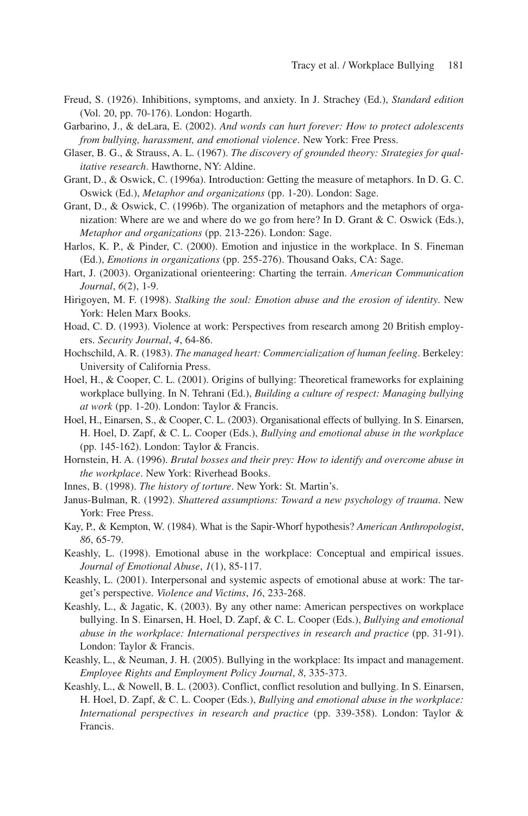- Freud, S. (1926). Inhibitions, symptoms, and anxiety. In J. Strachey (Ed.), *Standard edition* (Vol. 20, pp. 70-176). London: Hogarth.
- Garbarino, J., & deLara, E. (2002). *And words can hurt forever: How to protect adolescents from bullying, harassment, and emotional violence*. New York: Free Press.
- Glaser, B. G., & Strauss, A. L. (1967). *The discovery of grounded theory: Strategies for qualitative research*. Hawthorne, NY: Aldine.
- Grant, D., & Oswick, C. (1996a). Introduction: Getting the measure of metaphors. In D. G. C. Oswick (Ed.), *Metaphor and organizations* (pp. 1-20). London: Sage.
- Grant, D., & Oswick, C. (1996b). The organization of metaphors and the metaphors of organization: Where are we and where do we go from here? In D. Grant & C. Oswick (Eds.), *Metaphor and organizations* (pp. 213-226). London: Sage.
- Harlos, K. P., & Pinder, C. (2000). Emotion and injustice in the workplace. In S. Fineman (Ed.), *Emotions in organizations* (pp. 255-276). Thousand Oaks, CA: Sage.
- Hart, J. (2003). Organizational orienteering: Charting the terrain. *American Communication Journal*, *6*(2), 1-9.
- Hirigoyen, M. F. (1998). *Stalking the soul: Emotion abuse and the erosion of identity*. New York: Helen Marx Books.
- Hoad, C. D. (1993). Violence at work: Perspectives from research among 20 British employers. *Security Journal*, *4*, 64-86.
- Hochschild, A. R. (1983). *The managed heart: Commercialization of human feeling*. Berkeley: University of California Press.
- Hoel, H., & Cooper, C. L. (2001). Origins of bullying: Theoretical frameworks for explaining workplace bullying. In N. Tehrani (Ed.), *Building a culture of respect: Managing bullying at work* (pp. 1-20). London: Taylor & Francis.
- Hoel, H., Einarsen, S., & Cooper, C. L. (2003). Organisational effects of bullying. In S. Einarsen, H. Hoel, D. Zapf, & C. L. Cooper (Eds.), *Bullying and emotional abuse in the workplace* (pp. 145-162). London: Taylor & Francis.
- Hornstein, H. A. (1996). *Brutal bosses and their prey: How to identify and overcome abuse in the workplace*. New York: Riverhead Books.
- Innes, B. (1998). *The history of torture*. New York: St. Martin's.
- Janus-Bulman, R. (1992). *Shattered assumptions: Toward a new psychology of trauma*. New York: Free Press.
- Kay, P., & Kempton, W. (1984). What is the Sapir-Whorf hypothesis? *American Anthropologist*, *86*, 65-79.
- Keashly, L. (1998). Emotional abuse in the workplace: Conceptual and empirical issues. *Journal of Emotional Abuse*, *1*(1), 85-117.
- Keashly, L. (2001). Interpersonal and systemic aspects of emotional abuse at work: The target's perspective. *Violence and Victims*, *16*, 233-268.
- Keashly, L., & Jagatic, K. (2003). By any other name: American perspectives on workplace bullying. In S. Einarsen, H. Hoel, D. Zapf, & C. L. Cooper (Eds.), *Bullying and emotional abuse in the workplace: International perspectives in research and practice* (pp. 31-91). London: Taylor & Francis.
- Keashly, L., & Neuman, J. H. (2005). Bullying in the workplace: Its impact and management. *Employee Rights and Employment Policy Journal*, *8*, 335-373.
- Keashly, L., & Nowell, B. L. (2003). Conflict, conflict resolution and bullying. In S. Einarsen, H. Hoel, D. Zapf, & C. L. Cooper (Eds.), *Bullying and emotional abuse in the workplace: International perspectives in research and practice* (pp. 339-358). London: Taylor & Francis.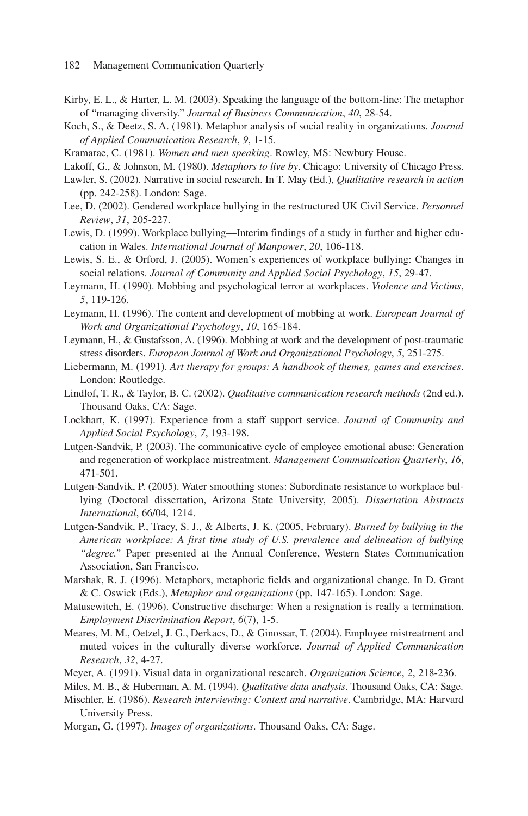- Kirby, E. L., & Harter, L. M. (2003). Speaking the language of the bottom-line: The metaphor of "managing diversity." *Journal of Business Communication*, *40*, 28-54.
- Koch, S., & Deetz, S. A. (1981). Metaphor analysis of social reality in organizations. *Journal of Applied Communication Research*, *9*, 1-15.
- Kramarae, C. (1981). *Women and men speaking*. Rowley, MS: Newbury House.
- Lakoff, G., & Johnson, M. (1980). *Metaphors to live by*. Chicago: University of Chicago Press.
- Lawler, S. (2002). Narrative in social research. In T. May (Ed.), *Qualitative research in action* (pp. 242-258). London: Sage.
- Lee, D. (2002). Gendered workplace bullying in the restructured UK Civil Service. *Personnel Review*, *31*, 205-227.
- Lewis, D. (1999). Workplace bullying—Interim findings of a study in further and higher education in Wales. *International Journal of Manpower*, *20*, 106-118.
- Lewis, S. E., & Orford, J. (2005). Women's experiences of workplace bullying: Changes in social relations. *Journal of Community and Applied Social Psychology*, *15*, 29-47.
- Leymann, H. (1990). Mobbing and psychological terror at workplaces. *Violence and Victims*, *5*, 119-126.
- Leymann, H. (1996). The content and development of mobbing at work. *European Journal of Work and Organizational Psychology*, *10*, 165-184.
- Leymann, H., & Gustafsson, A. (1996). Mobbing at work and the development of post-traumatic stress disorders. *European Journal of Work and Organizational Psychology*, *5*, 251-275.
- Liebermann, M. (1991). *Art therapy for groups: A handbook of themes, games and exercises*. London: Routledge.
- Lindlof, T. R., & Taylor, B. C. (2002). *Qualitative communication research methods* (2nd ed.). Thousand Oaks, CA: Sage.
- Lockhart, K. (1997). Experience from a staff support service. *Journal of Community and Applied Social Psychology*, *7*, 193-198.
- Lutgen-Sandvik, P. (2003). The communicative cycle of employee emotional abuse: Generation and regeneration of workplace mistreatment. *Management Communication Quarterly*, *16*, 471-501.
- Lutgen-Sandvik, P. (2005). Water smoothing stones: Subordinate resistance to workplace bullying (Doctoral dissertation, Arizona State University, 2005). *Dissertation Abstracts International*, 66/04, 1214.
- Lutgen-Sandvik, P., Tracy, S. J., & Alberts, J. K. (2005, February). *Burned by bullying in the American workplace: A first time study of U.S. prevalence and delineation of bullying "degree."* Paper presented at the Annual Conference, Western States Communication Association, San Francisco.
- Marshak, R. J. (1996). Metaphors, metaphoric fields and organizational change. In D. Grant & C. Oswick (Eds.), *Metaphor and organizations* (pp. 147-165). London: Sage.
- Matusewitch, E. (1996). Constructive discharge: When a resignation is really a termination. *Employment Discrimination Report*, *6*(7), 1-5.
- Meares, M. M., Oetzel, J. G., Derkacs, D., & Ginossar, T. (2004). Employee mistreatment and muted voices in the culturally diverse workforce. *Journal of Applied Communication Research*, *32*, 4-27.
- Meyer, A. (1991). Visual data in organizational research. *Organization Science*, *2*, 218-236.
- Miles, M. B., & Huberman, A. M. (1994). *Qualitative data analysis*. Thousand Oaks, CA: Sage.
- Mischler, E. (1986). *Research interviewing: Context and narrative*. Cambridge, MA: Harvard University Press.
- Morgan, G. (1997). *Images of organizations*. Thousand Oaks, CA: Sage.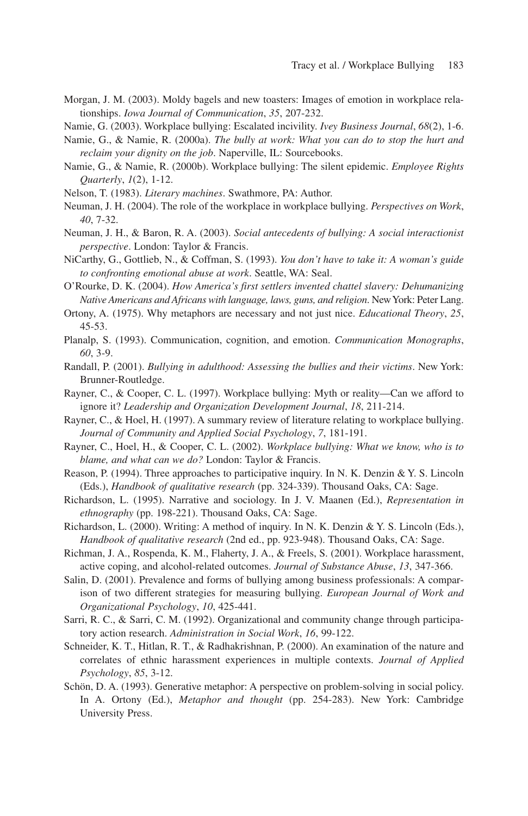- Morgan, J. M. (2003). Moldy bagels and new toasters: Images of emotion in workplace relationships. *Iowa Journal of Communication*, *35*, 207-232.
- Namie, G. (2003). Workplace bullying: Escalated incivility. *Ivey Business Journal*, *68*(2), 1-6.
- Namie, G., & Namie, R. (2000a). *The bully at work: What you can do to stop the hurt and reclaim your dignity on the job*. Naperville, IL: Sourcebooks.
- Namie, G., & Namie, R. (2000b). Workplace bullying: The silent epidemic. *Employee Rights Quarterly*, *1*(2), 1-12.
- Nelson, T. (1983). *Literary machines*. Swathmore, PA: Author.
- Neuman, J. H. (2004). The role of the workplace in workplace bullying. *Perspectives on Work*, *40*, 7-32.
- Neuman, J. H., & Baron, R. A. (2003). *Social antecedents of bullying: A social interactionist perspective*. London: Taylor & Francis.
- NiCarthy, G., Gottlieb, N., & Coffman, S. (1993). *You don't have to take it: A woman's guide to confronting emotional abuse at work*. Seattle, WA: Seal.
- O'Rourke, D. K. (2004). *How America's first settlers invented chattel slavery: Dehumanizing Native Americans and Africans with language, laws, guns, and religion*. New York: Peter Lang.
- Ortony, A. (1975). Why metaphors are necessary and not just nice. *Educational Theory*, *25*, 45-53.
- Planalp, S. (1993). Communication, cognition, and emotion. *Communication Monographs*, *60*, 3-9.
- Randall, P. (2001). *Bullying in adulthood: Assessing the bullies and their victims*. New York: Brunner-Routledge.
- Rayner, C., & Cooper, C. L. (1997). Workplace bullying: Myth or reality—Can we afford to ignore it? *Leadership and Organization Development Journal*, *18*, 211-214.
- Rayner, C., & Hoel, H. (1997). A summary review of literature relating to workplace bullying. *Journal of Community and Applied Social Psychology*, *7*, 181-191.
- Rayner, C., Hoel, H., & Cooper, C. L. (2002). *Workplace bullying: What we know, who is to blame, and what can we do?* London: Taylor & Francis.
- Reason, P. (1994). Three approaches to participative inquiry. In N. K. Denzin & Y. S. Lincoln (Eds.), *Handbook of qualitative research* (pp. 324-339). Thousand Oaks, CA: Sage.
- Richardson, L. (1995). Narrative and sociology. In J. V. Maanen (Ed.), *Representation in ethnography* (pp. 198-221). Thousand Oaks, CA: Sage.
- Richardson, L. (2000). Writing: A method of inquiry. In N. K. Denzin & Y. S. Lincoln (Eds.), *Handbook of qualitative research* (2nd ed., pp. 923-948). Thousand Oaks, CA: Sage.
- Richman, J. A., Rospenda, K. M., Flaherty, J. A., & Freels, S. (2001). Workplace harassment, active coping, and alcohol-related outcomes. *Journal of Substance Abuse*, *13*, 347-366.
- Salin, D. (2001). Prevalence and forms of bullying among business professionals: A comparison of two different strategies for measuring bullying. *European Journal of Work and Organizational Psychology*, *10*, 425-441.
- Sarri, R. C., & Sarri, C. M. (1992). Organizational and community change through participatory action research. *Administration in Social Work*, *16*, 99-122.
- Schneider, K. T., Hitlan, R. T., & Radhakrishnan, P. (2000). An examination of the nature and correlates of ethnic harassment experiences in multiple contexts. *Journal of Applied Psychology*, *85*, 3-12.
- Schön, D. A. (1993). Generative metaphor: A perspective on problem-solving in social policy. In A. Ortony (Ed.), *Metaphor and thought* (pp. 254-283). New York: Cambridge University Press.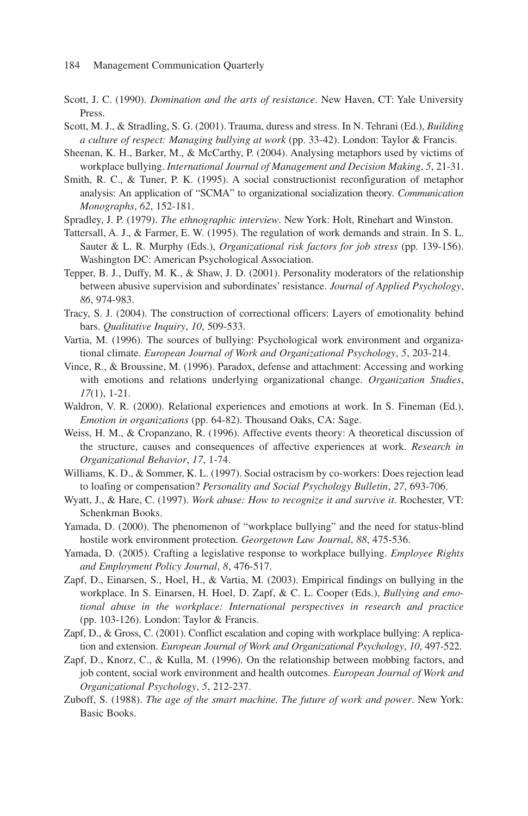- Scott, J. C. (1990). *Domination and the arts of resistance*. New Haven, CT: Yale University Press.
- Scott, M. J., & Stradling, S. G. (2001). Trauma, duress and stress. In N. Tehrani (Ed.), *Building a culture of respect: Managing bullying at work* (pp. 33-42). London: Taylor & Francis.
- Sheenan, K. H., Barker, M., & McCarthy, P. (2004). Analysing metaphors used by victims of workplace bullying. *International Journal of Management and Decision Making*, *5*, 21-31.
- Smith, R. C., & Tuner, P. K. (1995). A social constructionist reconfiguration of metaphor analysis: An application of "SCMA" to organizational socialization theory. *Communication Monographs*, *62*, 152-181.
- Spradley, J. P. (1979). *The ethnographic interview*. New York: Holt, Rinehart and Winston.
- Tattersall, A. J., & Farmer, E. W. (1995). The regulation of work demands and strain. In S. L. Sauter & L. R. Murphy (Eds.), *Organizational risk factors for job stress* (pp. 139-156). Washington DC: American Psychological Association.
- Tepper, B. J., Duffy, M. K., & Shaw, J. D. (2001). Personality moderators of the relationship between abusive supervision and subordinates' resistance. *Journal of Applied Psychology*, *86*, 974-983.
- Tracy, S. J. (2004). The construction of correctional officers: Layers of emotionality behind bars. *Qualitative Inquiry*, *10*, 509-533.
- Vartia, M. (1996). The sources of bullying: Psychological work environment and organizational climate. *European Journal of Work and Organizational Psychology*, *5*, 203-214.
- Vince, R., & Broussine, M. (1996). Paradox, defense and attachment: Accessing and working with emotions and relations underlying organizational change. *Organization Studies*, *17*(1), 1-21.
- Waldron, V. R. (2000). Relational experiences and emotions at work. In S. Fineman (Ed.), *Emotion in organizations* (pp. 64-82). Thousand Oaks, CA: Sage.
- Weiss, H. M., & Cropanzano, R. (1996). Affective events theory: A theoretical discussion of the structure, causes and consequences of affective experiences at work. *Research in Organizational Behavior*, *17*, 1-74.
- Williams, K. D., & Sommer, K. L. (1997). Social ostracism by co-workers: Does rejection lead to loafing or compensation? *Personality and Social Psychology Bulletin*, *27*, 693-706.
- Wyatt, J., & Hare, C. (1997). *Work abuse: How to recognize it and survive it*. Rochester, VT: Schenkman Books.
- Yamada, D. (2000). The phenomenon of "workplace bullying" and the need for status-blind hostile work environment protection. *Georgetown Law Journal*, *88*, 475-536.
- Yamada, D. (2005). Crafting a legislative response to workplace bullying. *Employee Rights and Employment Policy Journal*, *8*, 476-517.
- Zapf, D., Einarsen, S., Hoel, H., & Vartia, M. (2003). Empirical findings on bullying in the workplace. In S. Einarsen, H. Hoel, D. Zapf, & C. L. Cooper (Eds.), *Bullying and emotional abuse in the workplace: International perspectives in research and practice* (pp. 103-126). London: Taylor & Francis.
- Zapf, D., & Gross, C. (2001). Conflict escalation and coping with workplace bullying: A replication and extension. *European Journal of Work and Organizational Psychology*, *10*, 497-522.
- Zapf, D., Knorz, C., & Kulla, M. (1996). On the relationship between mobbing factors, and job content, social work environment and health outcomes. *European Journal of Work and Organizational Psychology*, *5*, 212-237.
- Zuboff, S. (1988). *The age of the smart machine. The future of work and power*. New York: Basic Books.